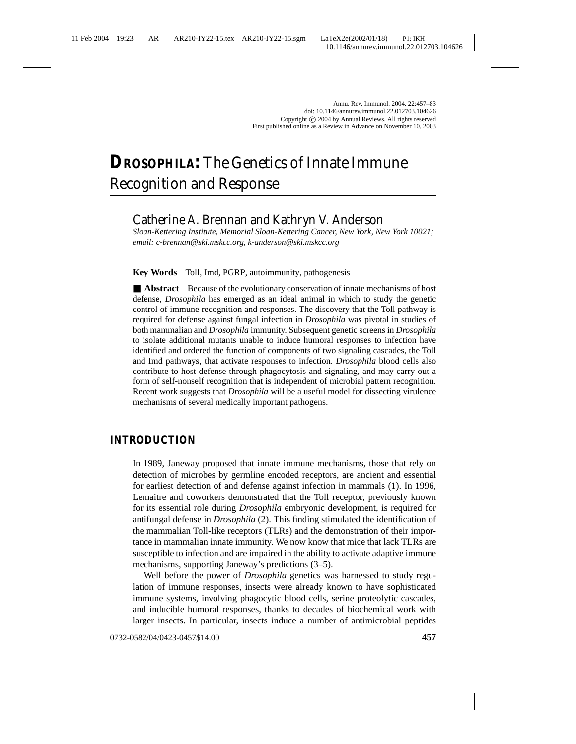# *DROSOPHILA***:** The Genetics of Innate Immune Recognition and Response

## Catherine A. Brennan and Kathryn V. Anderson

*Sloan-Kettering Institute, Memorial Sloan-Kettering Cancer, New York, New York 10021; email: c-brennan@ski.mskcc.org, k-anderson@ski.mskcc.org*

**Key Words** Toll, Imd, PGRP, autoimmunity, pathogenesis

■ **Abstract** Because of the evolutionary conservation of innate mechanisms of host defense, *Drosophila* has emerged as an ideal animal in which to study the genetic control of immune recognition and responses. The discovery that the Toll pathway is required for defense against fungal infection in *Drosophila* was pivotal in studies of both mammalian and *Drosophila* immunity. Subsequent genetic screens in *Drosophila* to isolate additional mutants unable to induce humoral responses to infection have identified and ordered the function of components of two signaling cascades, the Toll and Imd pathways, that activate responses to infection. *Drosophila* blood cells also contribute to host defense through phagocytosis and signaling, and may carry out a form of self-nonself recognition that is independent of microbial pattern recognition. Recent work suggests that *Drosophila* will be a useful model for dissecting virulence mechanisms of several medically important pathogens.

## **INTRODUCTION**

In 1989, Janeway proposed that innate immune mechanisms, those that rely on detection of microbes by germline encoded receptors, are ancient and essential for earliest detection of and defense against infection in mammals (1). In 1996, Lemaitre and coworkers demonstrated that the Toll receptor, previously known for its essential role during *Drosophila* embryonic development, is required for antifungal defense in *Drosophila* (2). This finding stimulated the identification of the mammalian Toll-like receptors (TLRs) and the demonstration of their importance in mammalian innate immunity. We now know that mice that lack TLRs are susceptible to infection and are impaired in the ability to activate adaptive immune mechanisms, supporting Janeway's predictions (3–5).

Well before the power of *Drosophila* genetics was harnessed to study regulation of immune responses, insects were already known to have sophisticated immune systems, involving phagocytic blood cells, serine proteolytic cascades, and inducible humoral responses, thanks to decades of biochemical work with larger insects. In particular, insects induce a number of antimicrobial peptides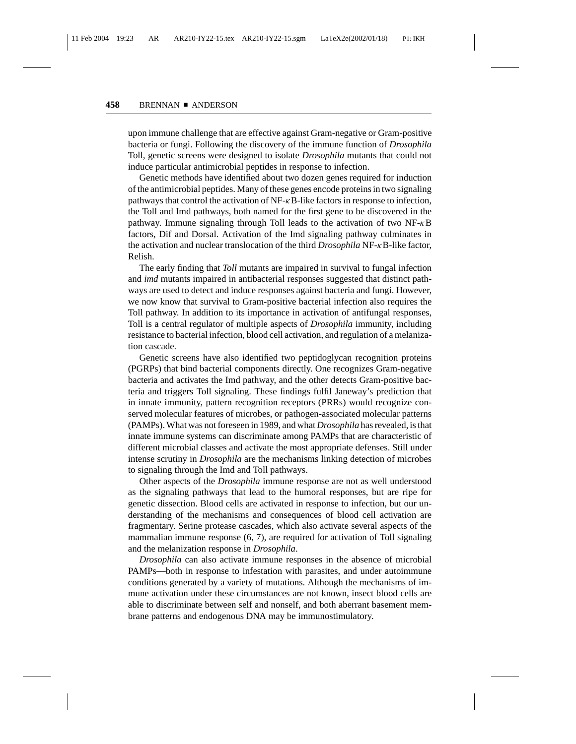upon immune challenge that are effective against Gram-negative or Gram-positive bacteria or fungi. Following the discovery of the immune function of *Drosophila* Toll, genetic screens were designed to isolate *Drosophila* mutants that could not induce particular antimicrobial peptides in response to infection.

Genetic methods have identified about two dozen genes required for induction of the antimicrobial peptides. Many of these genes encode proteins in two signaling pathways that control the activation of  $NF-κB$ -like factors in response to infection, the Toll and Imd pathways, both named for the first gene to be discovered in the pathway. Immune signaling through Toll leads to the activation of two NF-κB factors, Dif and Dorsal. Activation of the Imd signaling pathway culminates in the activation and nuclear translocation of the third *Drosophila* NF-κB-like factor, Relish.

The early finding that *Toll* mutants are impaired in survival to fungal infection and *imd* mutants impaired in antibacterial responses suggested that distinct pathways are used to detect and induce responses against bacteria and fungi. However, we now know that survival to Gram-positive bacterial infection also requires the Toll pathway. In addition to its importance in activation of antifungal responses, Toll is a central regulator of multiple aspects of *Drosophila* immunity, including resistance to bacterial infection, blood cell activation, and regulation of a melanization cascade.

Genetic screens have also identified two peptidoglycan recognition proteins (PGRPs) that bind bacterial components directly. One recognizes Gram-negative bacteria and activates the Imd pathway, and the other detects Gram-positive bacteria and triggers Toll signaling. These findings fulfil Janeway's prediction that in innate immunity, pattern recognition receptors (PRRs) would recognize conserved molecular features of microbes, or pathogen-associated molecular patterns (PAMPs). What was not foreseen in 1989, and what *Drosophila* has revealed, is that innate immune systems can discriminate among PAMPs that are characteristic of different microbial classes and activate the most appropriate defenses. Still under intense scrutiny in *Drosophila* are the mechanisms linking detection of microbes to signaling through the Imd and Toll pathways.

Other aspects of the *Drosophila* immune response are not as well understood as the signaling pathways that lead to the humoral responses, but are ripe for genetic dissection. Blood cells are activated in response to infection, but our understanding of the mechanisms and consequences of blood cell activation are fragmentary. Serine protease cascades, which also activate several aspects of the mammalian immune response (6, 7), are required for activation of Toll signaling and the melanization response in *Drosophila*.

*Drosophila* can also activate immune responses in the absence of microbial PAMPs—both in response to infestation with parasites, and under autoimmune conditions generated by a variety of mutations. Although the mechanisms of immune activation under these circumstances are not known, insect blood cells are able to discriminate between self and nonself, and both aberrant basement membrane patterns and endogenous DNA may be immunostimulatory.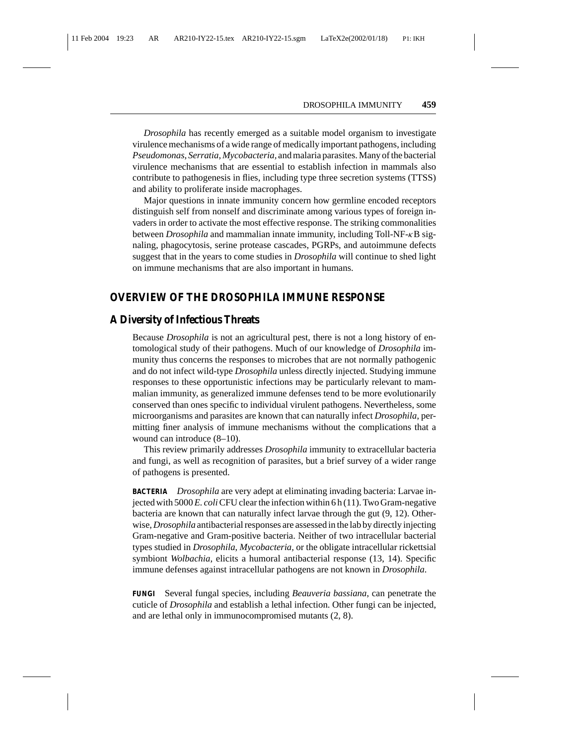*Drosophila* has recently emerged as a suitable model organism to investigate virulence mechanisms of a wide range of medically important pathogens, including *Pseudomonas*, *Serratia*, *Mycobacteria,* and malaria parasites. Many of the bacterial virulence mechanisms that are essential to establish infection in mammals also contribute to pathogenesis in flies, including type three secretion systems (TTSS) and ability to proliferate inside macrophages.

Major questions in innate immunity concern how germline encoded receptors distinguish self from nonself and discriminate among various types of foreign invaders in order to activate the most effective response. The striking commonalities between *Drosophila* and mammalian innate immunity, including Toll-NF-κB signaling, phagocytosis, serine protease cascades, PGRPs, and autoimmune defects suggest that in the years to come studies in *Drosophila* will continue to shed light on immune mechanisms that are also important in humans.

#### **OVERVIEW OF THE** *DROSOPHILA* **IMMUNE RESPONSE**

#### **A Diversity of Infectious Threats**

Because *Drosophila* is not an agricultural pest, there is not a long history of entomological study of their pathogens. Much of our knowledge of *Drosophila* immunity thus concerns the responses to microbes that are not normally pathogenic and do not infect wild-type *Drosophila* unless directly injected. Studying immune responses to these opportunistic infections may be particularly relevant to mammalian immunity, as generalized immune defenses tend to be more evolutionarily conserved than ones specific to individual virulent pathogens. Nevertheless, some microorganisms and parasites are known that can naturally infect *Drosophila*, permitting finer analysis of immune mechanisms without the complications that a wound can introduce (8–10).

This review primarily addresses *Drosophila* immunity to extracellular bacteria and fungi, as well as recognition of parasites, but a brief survey of a wider range of pathogens is presented.

**BACTERIA** *Drosophila* are very adept at eliminating invading bacteria: Larvae injected with 5000*E. coli*CFU clear the infection within 6 h (11). Two Gram-negative bacteria are known that can naturally infect larvae through the gut (9, 12). Otherwise,*Drosophila* antibacterial responses are assessed in the lab by directly injecting Gram-negative and Gram-positive bacteria. Neither of two intracellular bacterial types studied in *Drosophila*, *Mycobacteria,* or the obligate intracellular rickettsial symbiont *Wolbachia*, elicits a humoral antibacterial response (13, 14). Specific immune defenses against intracellular pathogens are not known in *Drosophila*.

**FUNGI** Several fungal species, including *Beauveria bassiana*, can penetrate the cuticle of *Drosophila* and establish a lethal infection. Other fungi can be injected, and are lethal only in immunocompromised mutants (2, 8).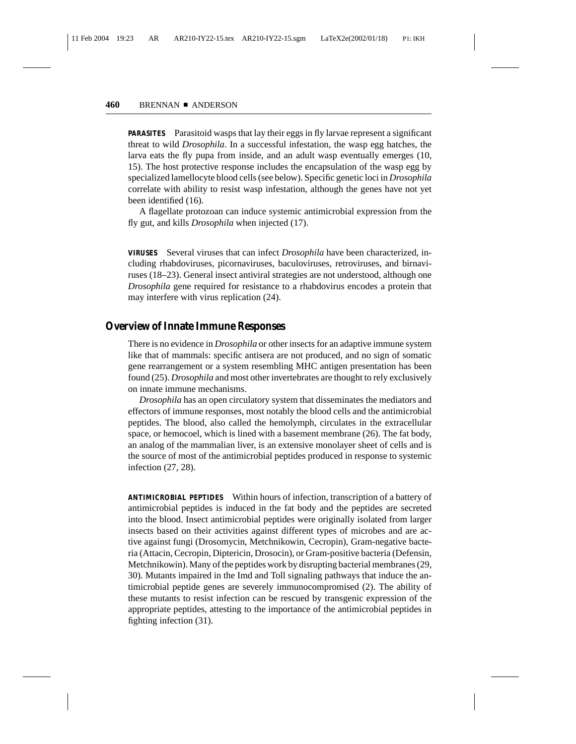**PARASITES** Parasitoid wasps that lay their eggs in fly larvae represent a significant threat to wild *Drosophila*. In a successful infestation, the wasp egg hatches, the larva eats the fly pupa from inside, and an adult wasp eventually emerges (10, 15). The host protective response includes the encapsulation of the wasp egg by specialized lamellocyte blood cells (see below). Specific genetic loci in *Drosophila* correlate with ability to resist wasp infestation, although the genes have not yet been identified (16).

A flagellate protozoan can induce systemic antimicrobial expression from the fly gut, and kills *Drosophila* when injected (17).

**VIRUSES** Several viruses that can infect *Drosophila* have been characterized, including rhabdoviruses, picornaviruses, baculoviruses, retroviruses, and birnaviruses (18–23). General insect antiviral strategies are not understood, although one *Drosophila* gene required for resistance to a rhabdovirus encodes a protein that may interfere with virus replication (24).

#### **Overview of Innate Immune Responses**

There is no evidence in *Drosophila* or other insects for an adaptive immune system like that of mammals: specific antisera are not produced, and no sign of somatic gene rearrangement or a system resembling MHC antigen presentation has been found (25). *Drosophila* and most other invertebrates are thought to rely exclusively on innate immune mechanisms.

*Drosophila* has an open circulatory system that disseminates the mediators and effectors of immune responses, most notably the blood cells and the antimicrobial peptides. The blood, also called the hemolymph, circulates in the extracellular space, or hemocoel, which is lined with a basement membrane (26). The fat body, an analog of the mammalian liver, is an extensive monolayer sheet of cells and is the source of most of the antimicrobial peptides produced in response to systemic infection (27, 28).

**ANTIMICROBIAL PEPTIDES** Within hours of infection, transcription of a battery of antimicrobial peptides is induced in the fat body and the peptides are secreted into the blood. Insect antimicrobial peptides were originally isolated from larger insects based on their activities against different types of microbes and are active against fungi (Drosomycin, Metchnikowin, Cecropin), Gram-negative bacteria (Attacin, Cecropin, Diptericin, Drosocin), or Gram-positive bacteria (Defensin, Metchnikowin). Many of the peptides work by disrupting bacterial membranes (29, 30). Mutants impaired in the Imd and Toll signaling pathways that induce the antimicrobial peptide genes are severely immunocompromised (2). The ability of these mutants to resist infection can be rescued by transgenic expression of the appropriate peptides, attesting to the importance of the antimicrobial peptides in fighting infection (31).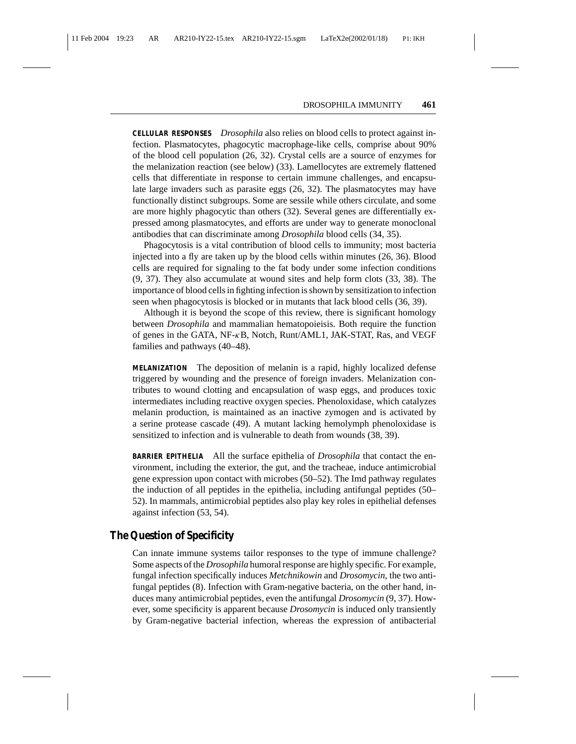**CELLULAR RESPONSES** *Drosophila* also relies on blood cells to protect against infection. Plasmatocytes, phagocytic macrophage-like cells, comprise about 90% of the blood cell population (26, 32). Crystal cells are a source of enzymes for the melanization reaction (see below) (33). Lamellocytes are extremely flattened cells that differentiate in response to certain immune challenges, and encapsulate large invaders such as parasite eggs (26, 32). The plasmatocytes may have functionally distinct subgroups. Some are sessile while others circulate, and some are more highly phagocytic than others (32). Several genes are differentially expressed among plasmatocytes, and efforts are under way to generate monoclonal antibodies that can discriminate among *Drosophila* blood cells (34, 35).

Phagocytosis is a vital contribution of blood cells to immunity; most bacteria injected into a fly are taken up by the blood cells within minutes (26, 36). Blood cells are required for signaling to the fat body under some infection conditions (9, 37). They also accumulate at wound sites and help form clots (33, 38). The importance of blood cells in fighting infection is shown by sensitization to infection seen when phagocytosis is blocked or in mutants that lack blood cells (36, 39).

Although it is beyond the scope of this review, there is significant homology between *Drosophila* and mammalian hematopoieisis. Both require the function of genes in the GATA, NF-κB, Notch, Runt/AML1, JAK-STAT, Ras, and VEGF families and pathways (40–48).

**MELANIZATION** The deposition of melanin is a rapid, highly localized defense triggered by wounding and the presence of foreign invaders. Melanization contributes to wound clotting and encapsulation of wasp eggs, and produces toxic intermediates including reactive oxygen species. Phenoloxidase, which catalyzes melanin production, is maintained as an inactive zymogen and is activated by a serine protease cascade (49). A mutant lacking hemolymph phenoloxidase is sensitized to infection and is vulnerable to death from wounds (38, 39).

**BARRIER EPITHELIA** All the surface epithelia of *Drosophila* that contact the environment, including the exterior, the gut, and the tracheae, induce antimicrobial gene expression upon contact with microbes (50–52). The Imd pathway regulates the induction of all peptides in the epithelia, including antifungal peptides (50– 52). In mammals, antimicrobial peptides also play key roles in epithelial defenses against infection (53, 54).

#### **The Question of Specificity**

Can innate immune systems tailor responses to the type of immune challenge? Some aspects of the *Drosophila* humoral response are highly specific. For example, fungal infection specifically induces *Metchnikowin* and *Drosomycin*, the two antifungal peptides (8). Infection with Gram-negative bacteria, on the other hand, induces many antimicrobial peptides, even the antifungal *Drosomycin* (9, 37). However, some specificity is apparent because *Drosomycin* is induced only transiently by Gram-negative bacterial infection, whereas the expression of antibacterial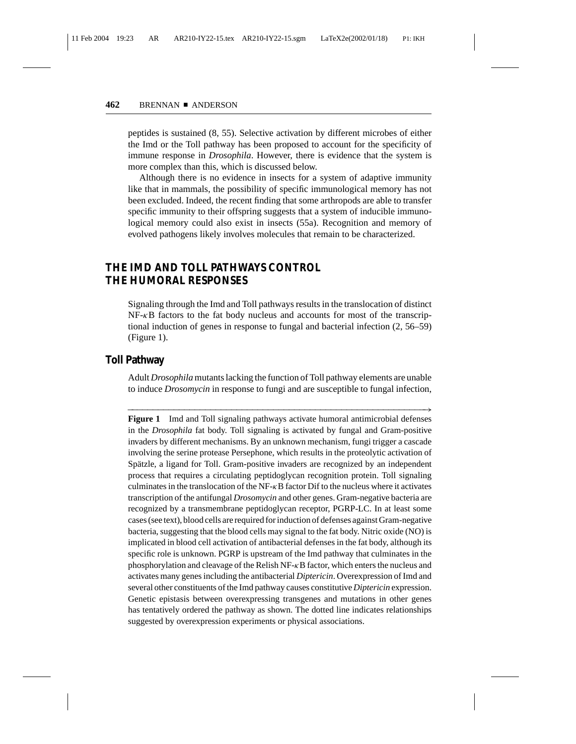peptides is sustained (8, 55). Selective activation by different microbes of either the Imd or the Toll pathway has been proposed to account for the specificity of immune response in *Drosophila*. However, there is evidence that the system is more complex than this, which is discussed below.

Although there is no evidence in insects for a system of adaptive immunity like that in mammals, the possibility of specific immunological memory has not been excluded. Indeed, the recent finding that some arthropods are able to transfer specific immunity to their offspring suggests that a system of inducible immunological memory could also exist in insects (55a). Recognition and memory of evolved pathogens likely involves molecules that remain to be characterized.

### **THE IMD AND TOLL PATHWAYS CONTROL THE HUMORAL RESPONSES**

Signaling through the Imd and Toll pathways results in the translocation of distinct  $NF-\kappa B$  factors to the fat body nucleus and accounts for most of the transcriptional induction of genes in response to fungal and bacterial infection (2, 56–59) (Figure 1).

#### **Toll Pathway**

Adult *Drosophila*mutants lacking the function of Toll pathway elements are unable to induce *Drosomycin* in response to fungi and are susceptible to fungal infection,

**Figure 1** Imd and Toll signaling pathways activate humoral antimicrobial defenses in the *Drosophila* fat body. Toll signaling is activated by fungal and Gram-positive invaders by different mechanisms. By an unknown mechanism, fungi trigger a cascade involving the serine protease Persephone, which results in the proteolytic activation of Spätzle, a ligand for Toll. Gram-positive invaders are recognized by an independent process that requires a circulating peptidoglycan recognition protein. Toll signaling culminates in the translocation of the NF- $\kappa$ B factor Dif to the nucleus where it activates transcription of the antifungal *Drosomycin* and other genes. Gram-negative bacteria are recognized by a transmembrane peptidoglycan receptor, PGRP-LC. In at least some cases (see text), blood cells are required for induction of defenses against Gram-negative bacteria, suggesting that the blood cells may signal to the fat body. Nitric oxide (NO) is implicated in blood cell activation of antibacterial defenses in the fat body, although its specific role is unknown. PGRP is upstream of the Imd pathway that culminates in the phosphorylation and cleavage of the Relish NF- $\kappa$ B factor, which enters the nucleus and activates many genes including the antibacterial *Diptericin*. Overexpression of Imd and several other constituents of the Imd pathway causes constitutive *Diptericin* expression. Genetic epistasis between overexpressing transgenes and mutations in other genes has tentatively ordered the pathway as shown. The dotted line indicates relationships suggested by overexpression experiments or physical associations.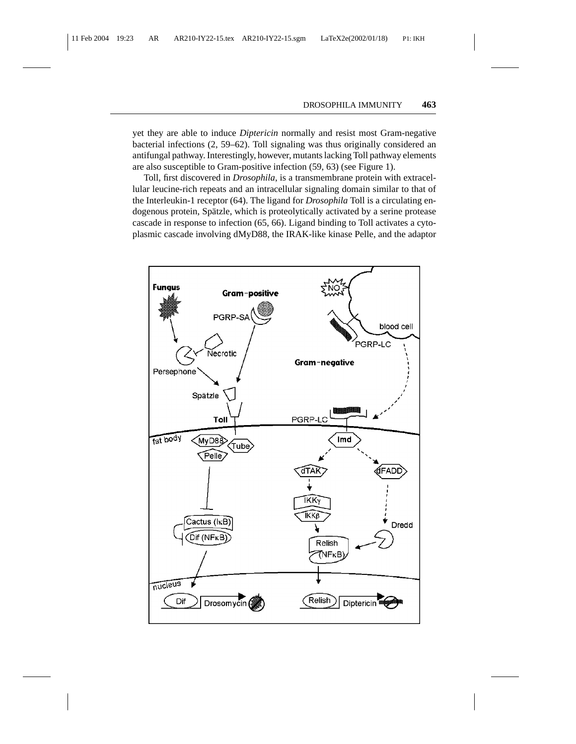yet they are able to induce *Diptericin* normally and resist most Gram-negative bacterial infections (2, 59–62). Toll signaling was thus originally considered an antifungal pathway. Interestingly, however, mutants lacking Toll pathway elements are also susceptible to Gram-positive infection (59, 63) (see Figure 1).

Toll, first discovered in *Drosophila*, is a transmembrane protein with extracellular leucine-rich repeats and an intracellular signaling domain similar to that of the Interleukin-1 receptor (64). The ligand for *Drosophila* Toll is a circulating endogenous protein, Spätzle, which is proteolytically activated by a serine protease cascade in response to infection (65, 66). Ligand binding to Toll activates a cytoplasmic cascade involving dMyD88, the IRAK-like kinase Pelle, and the adaptor

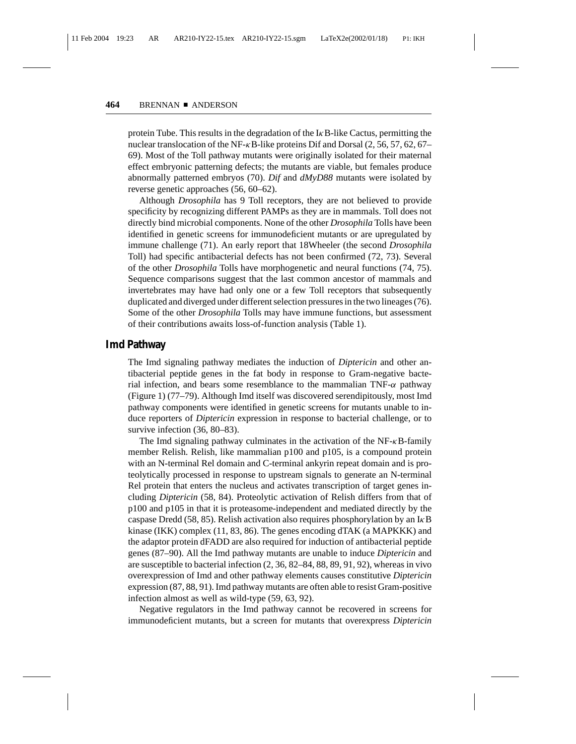protein Tube. This results in the degradation of the  $I_{\kappa}$ B-like Cactus, permitting the nuclear translocation of the NF- $\kappa$ B-like proteins Dif and Dorsal (2, 56, 57, 62, 67– 69). Most of the Toll pathway mutants were originally isolated for their maternal effect embryonic patterning defects; the mutants are viable, but females produce abnormally patterned embryos (70). *Dif* and *dMyD88* mutants were isolated by reverse genetic approaches (56, 60–62).

Although *Drosophila* has 9 Toll receptors, they are not believed to provide specificity by recognizing different PAMPs as they are in mammals. Toll does not directly bind microbial components. None of the other *Drosophila* Tolls have been identified in genetic screens for immunodeficient mutants or are upregulated by immune challenge (71). An early report that 18Wheeler (the second *Drosophila* Toll) had specific antibacterial defects has not been confirmed (72, 73). Several of the other *Drosophila* Tolls have morphogenetic and neural functions (74, 75). Sequence comparisons suggest that the last common ancestor of mammals and invertebrates may have had only one or a few Toll receptors that subsequently duplicated and diverged under different selection pressures in the two lineages (76). Some of the other *Drosophila* Tolls may have immune functions, but assessment of their contributions awaits loss-of-function analysis (Table 1).

#### **Imd Pathway**

The Imd signaling pathway mediates the induction of *Diptericin* and other antibacterial peptide genes in the fat body in response to Gram-negative bacterial infection, and bears some resemblance to the mammalian TNF- $\alpha$  pathway (Figure 1) (77–79). Although Imd itself was discovered serendipitously, most Imd pathway components were identified in genetic screens for mutants unable to induce reporters of *Diptericin* expression in response to bacterial challenge, or to survive infection (36, 80–83).

The Imd signaling pathway culminates in the activation of the  $NF-\kappa B$ -family member Relish. Relish, like mammalian p100 and p105, is a compound protein with an N-terminal Rel domain and C-terminal ankyrin repeat domain and is proteolytically processed in response to upstream signals to generate an N-terminal Rel protein that enters the nucleus and activates transcription of target genes including *Diptericin* (58, 84). Proteolytic activation of Relish differs from that of p100 and p105 in that it is proteasome-independent and mediated directly by the caspase Dredd (58, 85). Relish activation also requires phosphorylation by an IκB kinase (IKK) complex (11, 83, 86). The genes encoding dTAK (a MAPKKK) and the adaptor protein dFADD are also required for induction of antibacterial peptide genes (87–90). All the Imd pathway mutants are unable to induce *Diptericin* and are susceptible to bacterial infection (2, 36, 82–84, 88, 89, 91, 92), whereas in vivo overexpression of Imd and other pathway elements causes constitutive *Diptericin* expression (87, 88, 91). Imd pathway mutants are often able to resist Gram-positive infection almost as well as wild-type (59, 63, 92).

Negative regulators in the Imd pathway cannot be recovered in screens for immunodeficient mutants, but a screen for mutants that overexpress *Diptericin*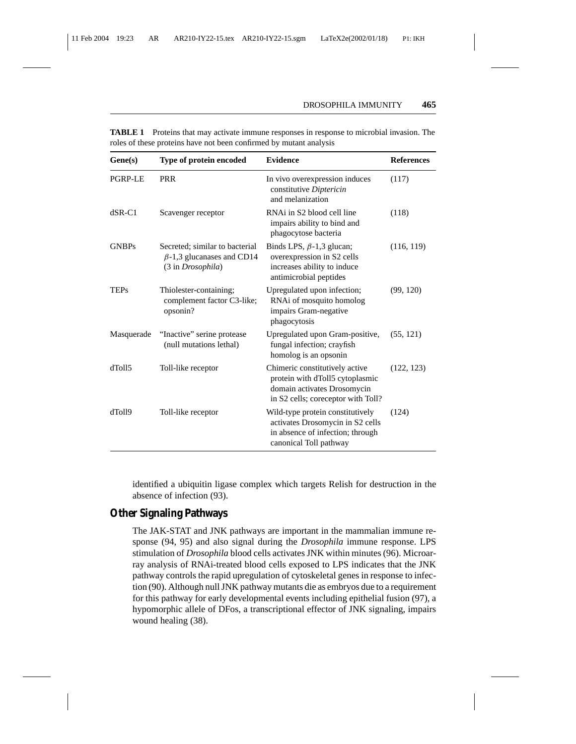| Gene(s)      | Type of protein encoded                                                                         | <b>Evidence</b>                                                                                                                        | <b>References</b> |
|--------------|-------------------------------------------------------------------------------------------------|----------------------------------------------------------------------------------------------------------------------------------------|-------------------|
| PGRP-LE      | <b>PRR</b>                                                                                      | In vivo overexpression induces<br>constitutive Diptericin<br>and melanization                                                          | (117)             |
| $d$ SR-C1    | Scavenger receptor                                                                              | RNA <sub>i</sub> in S <sub>2</sub> blood cell line<br>impairs ability to bind and<br>phagocytose bacteria                              | (118)             |
| <b>GNBPs</b> | Secreted; similar to bacterial<br>$\beta$ -1,3 glucanases and CD14<br>(3 in <i>Drosophila</i> ) | Binds LPS, $\beta$ -1,3 glucan;<br>overexpression in S2 cells<br>increases ability to induce<br>antimicrobial peptides                 | (116, 119)        |
| <b>TEPs</b>  | Thiolester-containing;<br>complement factor C3-like;<br>opsonin?                                | Upregulated upon infection;<br>RNAi of mosquito homolog<br>impairs Gram-negative<br>phagocytosis                                       | (99, 120)         |
| Masquerade   | "Inactive" serine protease<br>(null mutations lethal)                                           | Upregulated upon Gram-positive,<br>fungal infection; crayfish<br>homolog is an opsonin                                                 | (55, 121)         |
| dToll5       | Toll-like receptor                                                                              | Chimeric constitutively active<br>protein with dToll5 cytoplasmic<br>domain activates Drosomycin<br>in S2 cells; coreceptor with Toll? | (122, 123)        |
| dToll9       | Toll-like receptor                                                                              | Wild-type protein constitutively<br>activates Drosomycin in S2 cells<br>in absence of infection; through<br>canonical Toll pathway     | (124)             |

**TABLE 1** Proteins that may activate immune responses in response to microbial invasion. The roles of these proteins have not been confirmed by mutant analysis

identified a ubiquitin ligase complex which targets Relish for destruction in the absence of infection (93).

#### **Other Signaling Pathways**

The JAK-STAT and JNK pathways are important in the mammalian immune response (94, 95) and also signal during the *Drosophila* immune response. LPS stimulation of *Drosophila* blood cells activates JNK within minutes (96). Microarray analysis of RNAi-treated blood cells exposed to LPS indicates that the JNK pathway controls the rapid upregulation of cytoskeletal genes in response to infection (90). Although null JNK pathway mutants die as embryos due to a requirement for this pathway for early developmental events including epithelial fusion (97), a hypomorphic allele of DFos, a transcriptional effector of JNK signaling, impairs wound healing (38).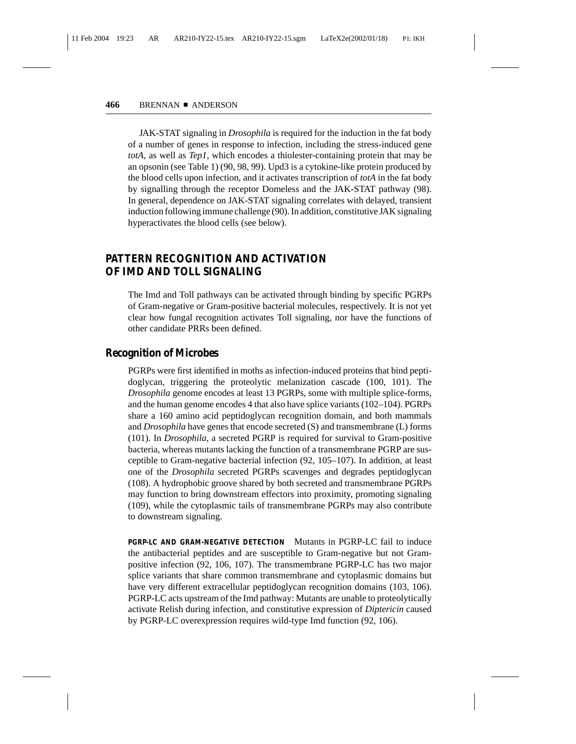JAK-STAT signaling in *Drosophila* is required for the induction in the fat body of a number of genes in response to infection, including the stress-induced gene *totA,* as well as *Tep1*, which encodes a thiolester-containing protein that may be an opsonin (see Table 1) (90, 98, 99). Upd3 is a cytokine-like protein produced by the blood cells upon infection, and it activates transcription of *totA* in the fat body by signalling through the receptor Domeless and the JAK-STAT pathway (98). In general, dependence on JAK-STAT signaling correlates with delayed, transient induction following immune challenge (90). In addition, constitutive JAK signaling hyperactivates the blood cells (see below).

## **PATTERN RECOGNITION AND ACTIVATION OF IMD AND TOLL SIGNALING**

The Imd and Toll pathways can be activated through binding by specific PGRPs of Gram-negative or Gram-positive bacterial molecules, respectively. It is not yet clear how fungal recognition activates Toll signaling, nor have the functions of other candidate PRRs been defined.

#### **Recognition of Microbes**

PGRPs were first identified in moths as infection-induced proteins that bind peptidoglycan, triggering the proteolytic melanization cascade (100, 101). The *Drosophila* genome encodes at least 13 PGRPs, some with multiple splice-forms, and the human genome encodes 4 that also have splice variants (102–104). PGRPs share a 160 amino acid peptidoglycan recognition domain, and both mammals and *Drosophila* have genes that encode secreted (S) and transmembrane (L) forms (101). In *Drosophila*, a secreted PGRP is required for survival to Gram-positive bacteria, whereas mutants lacking the function of a transmembrane PGRP are susceptible to Gram-negative bacterial infection (92, 105–107). In addition, at least one of the *Drosophila* secreted PGRPs scavenges and degrades peptidoglycan (108). A hydrophobic groove shared by both secreted and transmembrane PGRPs may function to bring downstream effectors into proximity, promoting signaling (109), while the cytoplasmic tails of transmembrane PGRPs may also contribute to downstream signaling.

**PGRP-LC AND GRAM-NEGATIVE DETECTION** Mutants in PGRP-LC fail to induce the antibacterial peptides and are susceptible to Gram-negative but not Grampositive infection (92, 106, 107). The transmembrane PGRP-LC has two major splice variants that share common transmembrane and cytoplasmic domains but have very different extracellular peptidoglycan recognition domains (103, 106). PGRP-LC acts upstream of the Imd pathway: Mutants are unable to proteolytically activate Relish during infection, and constitutive expression of *Diptericin* caused by PGRP-LC overexpression requires wild-type Imd function (92, 106).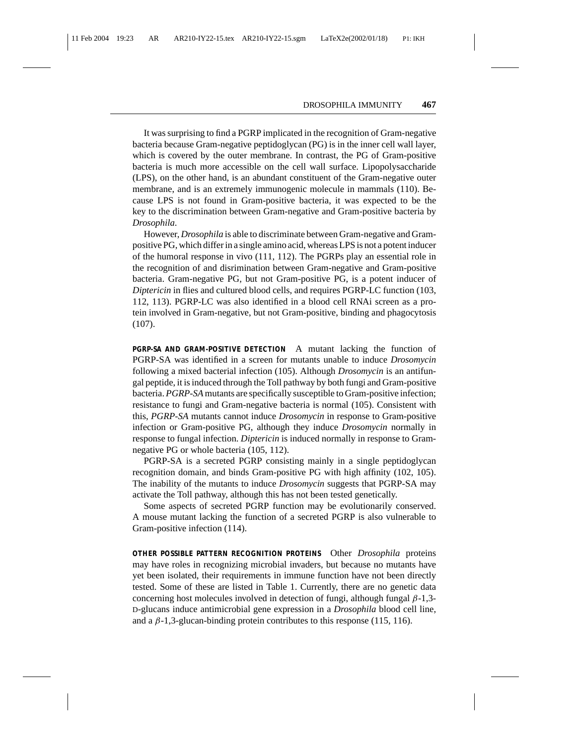It was surprising to find a PGRP implicated in the recognition of Gram-negative bacteria because Gram-negative peptidoglycan (PG) is in the inner cell wall layer, which is covered by the outer membrane. In contrast, the PG of Gram-positive bacteria is much more accessible on the cell wall surface. Lipopolysaccharide (LPS), on the other hand, is an abundant constituent of the Gram-negative outer membrane, and is an extremely immunogenic molecule in mammals (110). Because LPS is not found in Gram-positive bacteria, it was expected to be the key to the discrimination between Gram-negative and Gram-positive bacteria by *Drosophila*.

However, *Drosophila* is able to discriminate between Gram-negative and Grampositive PG, which differ in a single amino acid, whereas LPS is not a potent inducer of the humoral response in vivo (111, 112). The PGRPs play an essential role in the recognition of and disrimination between Gram-negative and Gram-positive bacteria. Gram-negative PG, but not Gram-positive PG, is a potent inducer of *Diptericin* in flies and cultured blood cells, and requires PGRP-LC function (103, 112, 113). PGRP-LC was also identified in a blood cell RNAi screen as a protein involved in Gram-negative, but not Gram-positive, binding and phagocytosis (107).

**PGRP-SA AND GRAM-POSITIVE DETECTION** A mutant lacking the function of PGRP-SA was identified in a screen for mutants unable to induce *Drosomycin* following a mixed bacterial infection (105). Although *Drosomycin* is an antifungal peptide, it is induced through the Toll pathway by both fungi and Gram-positive bacteria. *PGRP-SA* mutants are specifically susceptible to Gram-positive infection; resistance to fungi and Gram-negative bacteria is normal (105). Consistent with this, *PGRP-SA* mutants cannot induce *Drosomycin* in response to Gram-positive infection or Gram-positive PG, although they induce *Drosomycin* normally in response to fungal infection. *Diptericin* is induced normally in response to Gramnegative PG or whole bacteria (105, 112).

PGRP-SA is a secreted PGRP consisting mainly in a single peptidoglycan recognition domain, and binds Gram-positive PG with high affinity (102, 105). The inability of the mutants to induce *Drosomycin* suggests that PGRP-SA may activate the Toll pathway, although this has not been tested genetically.

Some aspects of secreted PGRP function may be evolutionarily conserved. A mouse mutant lacking the function of a secreted PGRP is also vulnerable to Gram-positive infection (114).

**OTHER POSSIBLE PATTERN RECOGNITION PROTEINS** Other *Drosophila* proteins may have roles in recognizing microbial invaders, but because no mutants have yet been isolated, their requirements in immune function have not been directly tested. Some of these are listed in Table 1. Currently, there are no genetic data concerning host molecules involved in detection of fungi, although fungal  $\beta$ -1,3-D-glucans induce antimicrobial gene expression in a *Drosophila* blood cell line, and a  $\beta$ -1,3-glucan-binding protein contributes to this response (115, 116).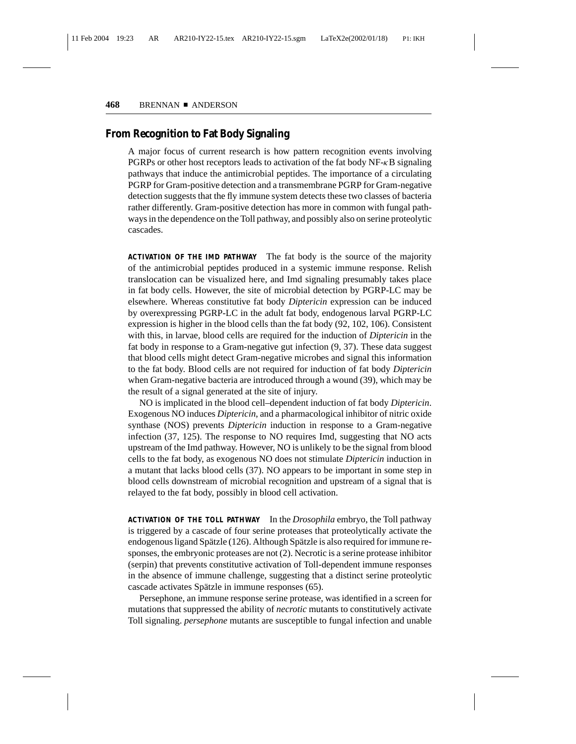#### **From Recognition to Fat Body Signaling**

A major focus of current research is how pattern recognition events involving PGRPs or other host receptors leads to activation of the fat body  $NF-\kappa B$  signaling pathways that induce the antimicrobial peptides. The importance of a circulating PGRP for Gram-positive detection and a transmembrane PGRP for Gram-negative detection suggests that the fly immune system detects these two classes of bacteria rather differently. Gram-positive detection has more in common with fungal pathways in the dependence on the Toll pathway, and possibly also on serine proteolytic cascades.

**ACTIVATION OF THE IMD PATHWAY** The fat body is the source of the majority of the antimicrobial peptides produced in a systemic immune response. Relish translocation can be visualized here, and Imd signaling presumably takes place in fat body cells. However, the site of microbial detection by PGRP-LC may be elsewhere. Whereas constitutive fat body *Diptericin* expression can be induced by overexpressing PGRP-LC in the adult fat body, endogenous larval PGRP-LC expression is higher in the blood cells than the fat body (92, 102, 106). Consistent with this, in larvae, blood cells are required for the induction of *Diptericin* in the fat body in response to a Gram-negative gut infection (9, 37). These data suggest that blood cells might detect Gram-negative microbes and signal this information to the fat body. Blood cells are not required for induction of fat body *Diptericin* when Gram-negative bacteria are introduced through a wound (39), which may be the result of a signal generated at the site of injury.

NO is implicated in the blood cell–dependent induction of fat body *Diptericin*. Exogenous NO induces *Diptericin*, and a pharmacological inhibitor of nitric oxide synthase (NOS) prevents *Diptericin* induction in response to a Gram-negative infection (37, 125). The response to NO requires Imd, suggesting that NO acts upstream of the Imd pathway. However, NO is unlikely to be the signal from blood cells to the fat body, as exogenous NO does not stimulate *Diptericin* induction in a mutant that lacks blood cells (37). NO appears to be important in some step in blood cells downstream of microbial recognition and upstream of a signal that is relayed to the fat body, possibly in blood cell activation.

**ACTIVATION OF THE TOLL PATHWAY** In the *Drosophila* embryo, the Toll pathway is triggered by a cascade of four serine proteases that proteolytically activate the endogenous ligand Spätzle (126). Although Spätzle is also required for immune responses, the embryonic proteases are not (2). Necrotic is a serine protease inhibitor (serpin) that prevents constitutive activation of Toll-dependent immune responses in the absence of immune challenge, suggesting that a distinct serine proteolytic cascade activates Spätzle in immune responses (65).

Persephone, an immune response serine protease, was identified in a screen for mutations that suppressed the ability of *necrotic* mutants to constitutively activate Toll signaling. *persephone* mutants are susceptible to fungal infection and unable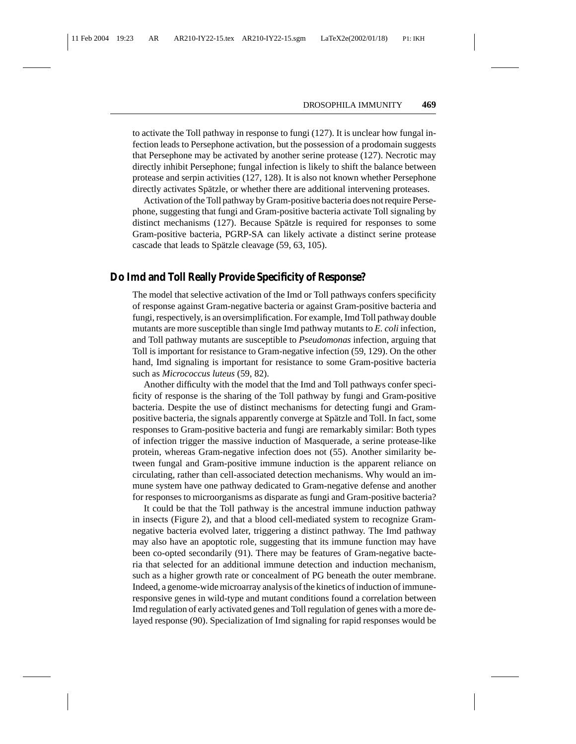to activate the Toll pathway in response to fungi (127). It is unclear how fungal infection leads to Persephone activation, but the possession of a prodomain suggests that Persephone may be activated by another serine protease (127). Necrotic may directly inhibit Persephone; fungal infection is likely to shift the balance between protease and serpin activities (127, 128). It is also not known whether Persephone directly activates Spätzle, or whether there are additional intervening proteases.

Activation of the Toll pathway by Gram-positive bacteria does not require Persephone, suggesting that fungi and Gram-positive bacteria activate Toll signaling by distinct mechanisms  $(127)$ . Because Spätzle is required for responses to some Gram-positive bacteria, PGRP-SA can likely activate a distinct serine protease cascade that leads to Spätzle cleavage (59, 63, 105).

#### **Do Imd and Toll Really Provide Specificity of Response?**

The model that selective activation of the Imd or Toll pathways confers specificity of response against Gram-negative bacteria or against Gram-positive bacteria and fungi, respectively, is an oversimplification. For example, Imd Toll pathway double mutants are more susceptible than single Imd pathway mutants to *E. coli* infection, and Toll pathway mutants are susceptible to *Pseudomonas* infection, arguing that Toll is important for resistance to Gram-negative infection (59, 129). On the other hand, Imd signaling is important for resistance to some Gram-positive bacteria such as *Micrococcus luteus* (59, 82).

Another difficulty with the model that the Imd and Toll pathways confer specificity of response is the sharing of the Toll pathway by fungi and Gram-positive bacteria. Despite the use of distinct mechanisms for detecting fungi and Grampositive bacteria, the signals apparently converge at Spätzle and Toll. In fact, some responses to Gram-positive bacteria and fungi are remarkably similar: Both types of infection trigger the massive induction of Masquerade, a serine protease-like protein, whereas Gram-negative infection does not (55). Another similarity between fungal and Gram-positive immune induction is the apparent reliance on circulating, rather than cell-associated detection mechanisms. Why would an immune system have one pathway dedicated to Gram-negative defense and another for responses to microorganisms as disparate as fungi and Gram-positive bacteria?

It could be that the Toll pathway is the ancestral immune induction pathway in insects (Figure 2), and that a blood cell-mediated system to recognize Gramnegative bacteria evolved later, triggering a distinct pathway. The Imd pathway may also have an apoptotic role, suggesting that its immune function may have been co-opted secondarily (91). There may be features of Gram-negative bacteria that selected for an additional immune detection and induction mechanism, such as a higher growth rate or concealment of PG beneath the outer membrane. Indeed, a genome-wide microarray analysis of the kinetics of induction of immuneresponsive genes in wild-type and mutant conditions found a correlation between Imd regulation of early activated genes and Toll regulation of genes with a more delayed response (90). Specialization of Imd signaling for rapid responses would be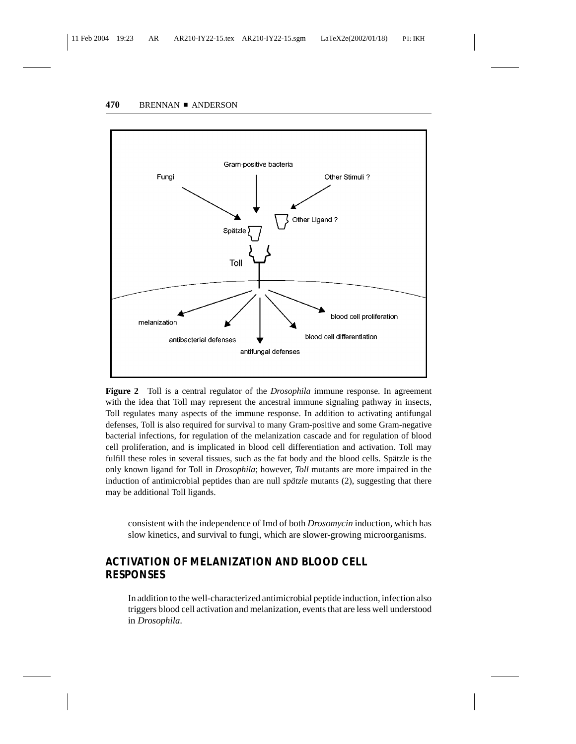

**Figure 2** Toll is a central regulator of the *Drosophila* immune response. In agreement with the idea that Toll may represent the ancestral immune signaling pathway in insects, Toll regulates many aspects of the immune response. In addition to activating antifungal defenses, Toll is also required for survival to many Gram-positive and some Gram-negative bacterial infections, for regulation of the melanization cascade and for regulation of blood cell proliferation, and is implicated in blood cell differentiation and activation. Toll may fulfill these roles in several tissues, such as the fat body and the blood cells. Spätzle is the only known ligand for Toll in *Drosophila*; however, *Toll* mutants are more impaired in the induction of antimicrobial peptides than are null *spatzle* mutants (2), suggesting that there may be additional Toll ligands.

consistent with the independence of Imd of both *Drosomycin* induction, which has slow kinetics, and survival to fungi, which are slower-growing microorganisms.

### **ACTIVATION OF MELANIZATION AND BLOOD CELL RESPONSES**

In addition to the well-characterized antimicrobial peptide induction, infection also triggers blood cell activation and melanization, events that are less well understood in *Drosophila*.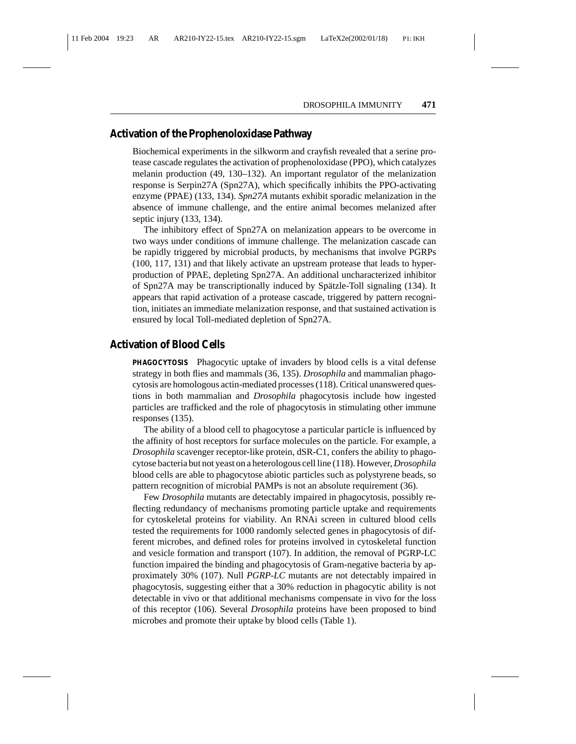#### **Activation of the Prophenoloxidase Pathway**

Biochemical experiments in the silkworm and crayfish revealed that a serine protease cascade regulates the activation of prophenoloxidase (PPO), which catalyzes melanin production (49, 130–132). An important regulator of the melanization response is Serpin27A (Spn27A), which specifically inhibits the PPO-activating enzyme (PPAE) (133, 134). *Spn27A* mutants exhibit sporadic melanization in the absence of immune challenge, and the entire animal becomes melanized after septic injury (133, 134).

The inhibitory effect of Spn27A on melanization appears to be overcome in two ways under conditions of immune challenge. The melanization cascade can be rapidly triggered by microbial products, by mechanisms that involve PGRPs (100, 117, 131) and that likely activate an upstream protease that leads to hyperproduction of PPAE, depleting Spn27A. An additional uncharacterized inhibitor of Spn27A may be transcriptionally induced by Spätzle-Toll signaling (134). It appears that rapid activation of a protease cascade, triggered by pattern recognition, initiates an immediate melanization response, and that sustained activation is ensured by local Toll-mediated depletion of Spn27A.

#### **Activation of Blood Cells**

**PHAGOCYTOSIS** Phagocytic uptake of invaders by blood cells is a vital defense strategy in both flies and mammals (36, 135). *Drosophila* and mammalian phagocytosis are homologous actin-mediated processes (118). Critical unanswered questions in both mammalian and *Drosophila* phagocytosis include how ingested particles are trafficked and the role of phagocytosis in stimulating other immune responses (135).

The ability of a blood cell to phagocytose a particular particle is influenced by the affinity of host receptors for surface molecules on the particle. For example, a *Drosophila* scavenger receptor-like protein, dSR-C1, confers the ability to phagocytose bacteria but not yeast on a heterologous cell line (118). However, *Drosophila* blood cells are able to phagocytose abiotic particles such as polystyrene beads, so pattern recognition of microbial PAMPs is not an absolute requirement (36).

Few *Drosophila* mutants are detectably impaired in phagocytosis, possibly reflecting redundancy of mechanisms promoting particle uptake and requirements for cytoskeletal proteins for viability. An RNAi screen in cultured blood cells tested the requirements for 1000 randomly selected genes in phagocytosis of different microbes, and defined roles for proteins involved in cytoskeletal function and vesicle formation and transport (107). In addition, the removal of PGRP-LC function impaired the binding and phagocytosis of Gram-negative bacteria by approximately 30% (107). Null *PGRP-LC* mutants are not detectably impaired in phagocytosis, suggesting either that a 30% reduction in phagocytic ability is not detectable in vivo or that additional mechanisms compensate in vivo for the loss of this receptor (106). Several *Drosophila* proteins have been proposed to bind microbes and promote their uptake by blood cells (Table 1).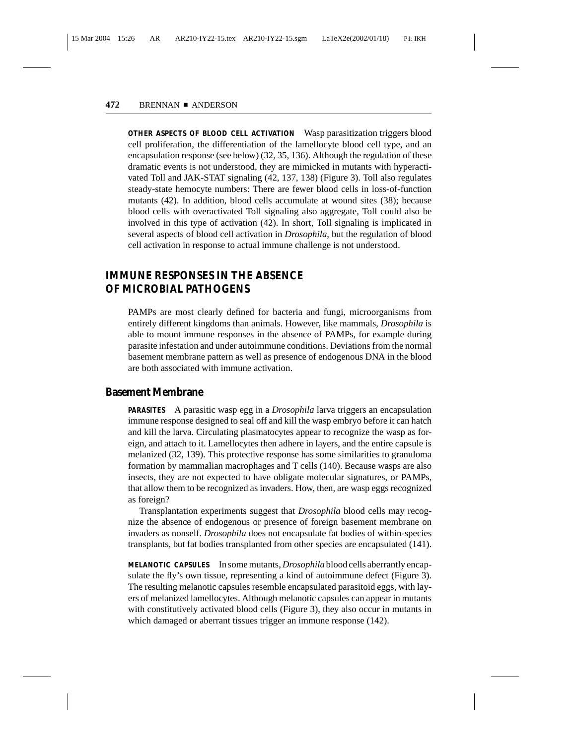**OTHER ASPECTS OF BLOOD CELL ACTIVATION** Wasp parasitization triggers blood cell proliferation, the differentiation of the lamellocyte blood cell type, and an encapsulation response (see below) (32, 35, 136). Although the regulation of these dramatic events is not understood, they are mimicked in mutants with hyperactivated Toll and JAK-STAT signaling (42, 137, 138) (Figure 3). Toll also regulates steady-state hemocyte numbers: There are fewer blood cells in loss-of-function mutants (42). In addition, blood cells accumulate at wound sites (38); because blood cells with overactivated Toll signaling also aggregate, Toll could also be involved in this type of activation (42). In short, Toll signaling is implicated in several aspects of blood cell activation in *Drosophila*, but the regulation of blood cell activation in response to actual immune challenge is not understood.

#### **IMMUNE RESPONSES IN THE ABSENCE OF MICROBIAL PATHOGENS**

PAMPs are most clearly defined for bacteria and fungi, microorganisms from entirely different kingdoms than animals. However, like mammals, *Drosophila* is able to mount immune responses in the absence of PAMPs, for example during parasite infestation and under autoimmune conditions. Deviations from the normal basement membrane pattern as well as presence of endogenous DNA in the blood are both associated with immune activation.

#### **Basement Membrane**

**PARASITES** A parasitic wasp egg in a *Drosophila* larva triggers an encapsulation immune response designed to seal off and kill the wasp embryo before it can hatch and kill the larva. Circulating plasmatocytes appear to recognize the wasp as foreign, and attach to it. Lamellocytes then adhere in layers, and the entire capsule is melanized (32, 139). This protective response has some similarities to granuloma formation by mammalian macrophages and T cells (140). Because wasps are also insects, they are not expected to have obligate molecular signatures, or PAMPs, that allow them to be recognized as invaders. How, then, are wasp eggs recognized as foreign?

Transplantation experiments suggest that *Drosophila* blood cells may recognize the absence of endogenous or presence of foreign basement membrane on invaders as nonself. *Drosophila* does not encapsulate fat bodies of within-species transplants, but fat bodies transplanted from other species are encapsulated (141).

**MELANOTIC CAPSULES** In some mutants, *Drosophila* blood cells aberrantly encapsulate the fly's own tissue, representing a kind of autoimmune defect (Figure 3). The resulting melanotic capsules resemble encapsulated parasitoid eggs, with layers of melanized lamellocytes. Although melanotic capsules can appear in mutants with constitutively activated blood cells (Figure 3), they also occur in mutants in which damaged or aberrant tissues trigger an immune response (142).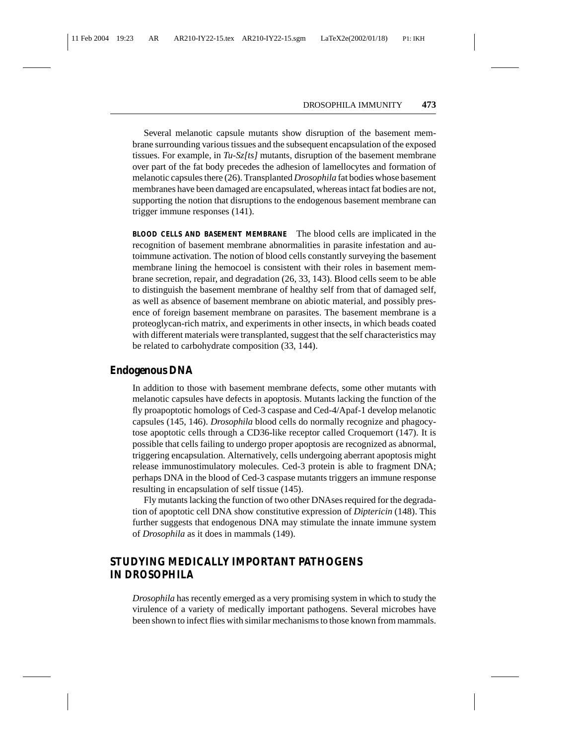Several melanotic capsule mutants show disruption of the basement membrane surrounding various tissues and the subsequent encapsulation of the exposed tissues. For example, in *Tu-Sz[ts]* mutants, disruption of the basement membrane over part of the fat body precedes the adhesion of lamellocytes and formation of melanotic capsules there (26). Transplanted *Drosophila* fat bodies whose basement membranes have been damaged are encapsulated, whereas intact fat bodies are not, supporting the notion that disruptions to the endogenous basement membrane can trigger immune responses (141).

**BLOOD CELLS AND BASEMENT MEMBRANE** The blood cells are implicated in the recognition of basement membrane abnormalities in parasite infestation and autoimmune activation. The notion of blood cells constantly surveying the basement membrane lining the hemocoel is consistent with their roles in basement membrane secretion, repair, and degradation (26, 33, 143). Blood cells seem to be able to distinguish the basement membrane of healthy self from that of damaged self, as well as absence of basement membrane on abiotic material, and possibly presence of foreign basement membrane on parasites. The basement membrane is a proteoglycan-rich matrix, and experiments in other insects, in which beads coated with different materials were transplanted, suggest that the self characteristics may be related to carbohydrate composition (33, 144).

#### **Endogenous DNA**

In addition to those with basement membrane defects, some other mutants with melanotic capsules have defects in apoptosis. Mutants lacking the function of the fly proapoptotic homologs of Ced-3 caspase and Ced-4/Apaf-1 develop melanotic capsules (145, 146). *Drosophila* blood cells do normally recognize and phagocytose apoptotic cells through a CD36-like receptor called Croquemort (147). It is possible that cells failing to undergo proper apoptosis are recognized as abnormal, triggering encapsulation. Alternatively, cells undergoing aberrant apoptosis might release immunostimulatory molecules. Ced-3 protein is able to fragment DNA; perhaps DNA in the blood of Ced-3 caspase mutants triggers an immune response resulting in encapsulation of self tissue (145).

Fly mutants lacking the function of two other DNAses required for the degradation of apoptotic cell DNA show constitutive expression of *Diptericin* (148). This further suggests that endogenous DNA may stimulate the innate immune system of *Drosophila* as it does in mammals (149).

#### **STUDYING MEDICALLY IMPORTANT PATHOGENS IN** *DROSOPHILA*

*Drosophila* has recently emerged as a very promising system in which to study the virulence of a variety of medically important pathogens. Several microbes have been shown to infect flies with similar mechanisms to those known from mammals.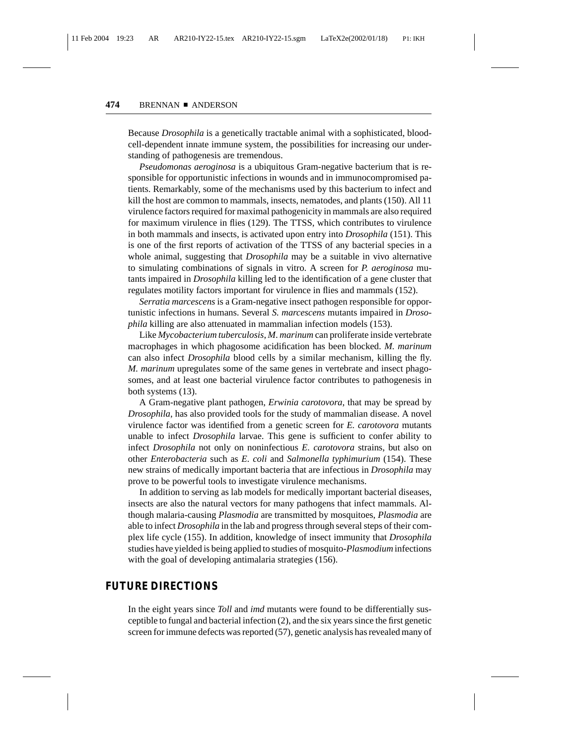Because *Drosophila* is a genetically tractable animal with a sophisticated, bloodcell-dependent innate immune system, the possibilities for increasing our understanding of pathogenesis are tremendous.

*Pseudomonas aeroginosa* is a ubiquitous Gram-negative bacterium that is responsible for opportunistic infections in wounds and in immunocompromised patients. Remarkably, some of the mechanisms used by this bacterium to infect and kill the host are common to mammals, insects, nematodes, and plants (150). All 11 virulence factors required for maximal pathogenicity in mammals are also required for maximum virulence in flies (129). The TTSS, which contributes to virulence in both mammals and insects, is activated upon entry into *Drosophila* (151). This is one of the first reports of activation of the TTSS of any bacterial species in a whole animal, suggesting that *Drosophila* may be a suitable in vivo alternative to simulating combinations of signals in vitro. A screen for *P. aeroginosa* mutants impaired in *Drosophila* killing led to the identification of a gene cluster that regulates motility factors important for virulence in flies and mammals (152).

*Serratia marcescens* is a Gram-negative insect pathogen responsible for opportunistic infections in humans. Several *S. marcescens* mutants impaired in *Drosophila* killing are also attenuated in mammalian infection models (153).

Like *Mycobacterium tuberculosis*, *M*. *marinum* can proliferate inside vertebrate macrophages in which phagosome acidification has been blocked. *M. marinum* can also infect *Drosophila* blood cells by a similar mechanism, killing the fly. *M. marinum* upregulates some of the same genes in vertebrate and insect phagosomes, and at least one bacterial virulence factor contributes to pathogenesis in both systems (13).

A Gram-negative plant pathogen, *Erwinia carotovora*, that may be spread by *Drosophila*, has also provided tools for the study of mammalian disease. A novel virulence factor was identified from a genetic screen for *E. carotovora* mutants unable to infect *Drosophila* larvae. This gene is sufficient to confer ability to infect *Drosophila* not only on noninfectious *E. carotovora* strains, but also on other *Enterobacteria* such as *E. coli* and *Salmonella typhimurium* (154). These new strains of medically important bacteria that are infectious in *Drosophila* may prove to be powerful tools to investigate virulence mechanisms.

In addition to serving as lab models for medically important bacterial diseases, insects are also the natural vectors for many pathogens that infect mammals. Although malaria-causing *Plasmodia* are transmitted by mosquitoes, *Plasmodia* are able to infect *Drosophila* in the lab and progress through several steps of their complex life cycle (155). In addition, knowledge of insect immunity that *Drosophila* studies have yielded is being applied to studies of mosquito-*Plasmodium* infections with the goal of developing antimalaria strategies (156).

#### **FUTURE DIRECTIONS**

In the eight years since *Toll* and *imd* mutants were found to be differentially susceptible to fungal and bacterial infection (2), and the six years since the first genetic screen for immune defects was reported (57), genetic analysis has revealed many of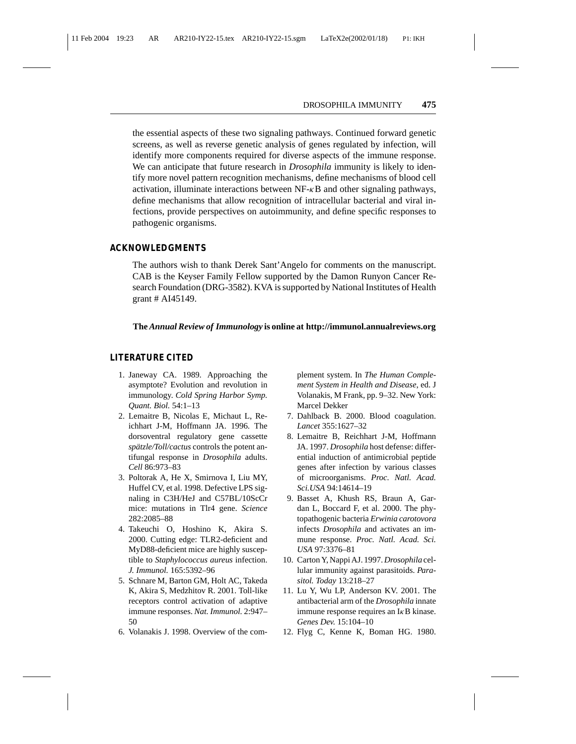the essential aspects of these two signaling pathways. Continued forward genetic screens, as well as reverse genetic analysis of genes regulated by infection, will identify more components required for diverse aspects of the immune response. We can anticipate that future research in *Drosophila* immunity is likely to identify more novel pattern recognition mechanisms, define mechanisms of blood cell activation, illuminate interactions between  $NF-<sub>K</sub>B$  and other signaling pathways, define mechanisms that allow recognition of intracellular bacterial and viral infections, provide perspectives on autoimmunity, and define specific responses to pathogenic organisms.

#### **ACKNOWLEDGMENTS**

The authors wish to thank Derek Sant'Angelo for comments on the manuscript. CAB is the Keyser Family Fellow supported by the Damon Runyon Cancer Research Foundation (DRG-3582). KVA is supported by National Institutes of Health grant # AI45149.

#### **The** *Annual Review of Immunology* **is online at http://immunol.annualreviews.org**

#### **LITERATURE CITED**

- 1. Janeway CA. 1989. Approaching the asymptote? Evolution and revolution in immunology. *Cold Spring Harbor Symp. Quant. Biol.* 54:1–13
- 2. Lemaitre B, Nicolas E, Michaut L, Reichhart J-M, Hoffmann JA. 1996. The dorsoventral regulatory gene cassette *spätzle/Toll/cactus* controls the potent antifungal response in *Drosophila* adults. *Cell* 86:973–83
- 3. Poltorak A, He X, Smirnova I, Liu MY, Huffel CV, et al. 1998. Defective LPS signaling in C3H/HeJ and C57BL/10ScCr mice: mutations in Tlr4 gene. *Science* 282:2085–88
- 4. Takeuchi O, Hoshino K, Akira S. 2000. Cutting edge: TLR2-deficient and MyD88-deficient mice are highly susceptible to *Staphylococcus aureus* infection. *J. Immunol.* 165:5392–96
- 5. Schnare M, Barton GM, Holt AC, Takeda K, Akira S, Medzhitov R. 2001. Toll-like receptors control activation of adaptive immune responses. *Nat. Immunol.* 2:947– 50
- 6. Volanakis J. 1998. Overview of the com-

plement system. In *The Human Complement System in Health and Disease*, ed. J Volanakis, M Frank, pp. 9–32. New York: Marcel Dekker

- 7. Dahlback B. 2000. Blood coagulation. *Lancet* 355:1627–32
- 8. Lemaitre B, Reichhart J-M, Hoffmann JA. 1997. *Drosophila* host defense: differential induction of antimicrobial peptide genes after infection by various classes of microorganisms. *Proc. Natl. Acad. Sci.USA* 94:14614–19
- 9. Basset A, Khush RS, Braun A, Gardan L, Boccard F, et al. 2000. The phytopathogenic bacteria *Erwinia carotovora* infects *Drosophila* and activates an immune response. *Proc. Natl. Acad. Sci. USA* 97:3376–81
- 10. Carton Y, Nappi AJ. 1997.*Drosophila* cellular immunity against parasitoids. *Parasitol. Today* 13:218–27
- 11. Lu Y, Wu LP, Anderson KV. 2001. The antibacterial arm of the *Drosophila* innate immune response requires an  $I \kappa B$  kinase. *Genes Dev.* 15:104–10
- 12. Flyg C, Kenne K, Boman HG. 1980.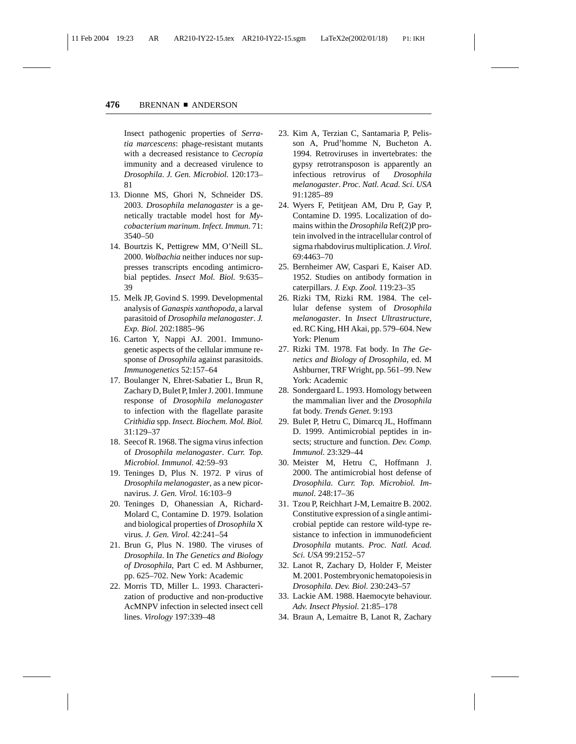Insect pathogenic properties of *Serratia marcescens*: phage-resistant mutants with a decreased resistance to *Cecropia* immunity and a decreased virulence to *Drosophila*. *J. Gen. Microbiol.* 120:173– 81

- 13. Dionne MS, Ghori N, Schneider DS. 2003. *Drosophila melanogaster* is a genetically tractable model host for *Mycobacterium marinum*. *Infect. Immun.* 71: 3540–50
- 14. Bourtzis K, Pettigrew MM, O'Neill SL. 2000. *Wolbachia* neither induces nor suppresses transcripts encoding antimicrobial peptides. *Insect Mol. Biol.* 9:635– 39
- 15. Melk JP, Govind S. 1999. Developmental analysis of *Ganaspis xanthopoda*, a larval parasitoid of *Drosophila melanogaster*. *J. Exp. Biol.* 202:1885–96
- 16. Carton Y, Nappi AJ. 2001. Immunogenetic aspects of the cellular immune response of *Drosophila* against parasitoids. *Immunogenetics* 52:157–64
- 17. Boulanger N, Ehret-Sabatier L, Brun R, Zachary D, Bulet P, Imler J. 2001. Immune response of *Drosophila melanogaster* to infection with the flagellate parasite *Crithidia* spp. *Insect. Biochem. Mol. Biol.* 31:129–37
- 18. Seecof R. 1968. The sigma virus infection of *Drosophila melanogaster*. *Curr. Top. Microbiol. Immunol.* 42:59–93
- 19. Teninges D, Plus N. 1972. P virus of *Drosophila melanogaster*, as a new picornavirus. *J. Gen. Virol.* 16:103–9
- 20. Teninges D, Ohanessian A, Richard-Molard C, Contamine D. 1979. Isolation and biological properties of *Drosophila* X virus. *J. Gen. Virol.* 42:241–54
- 21. Brun G, Plus N. 1980. The viruses of *Drosophila*. In *The Genetics and Biology of Drosophila*, Part C ed. M Ashburner, pp. 625–702. New York: Academic
- 22. Morris TD, Miller L. 1993. Characterization of productive and non-productive AcMNPV infection in selected insect cell lines. *Virology* 197:339–48
- 23. Kim A, Terzian C, Santamaria P, Pelisson A, Prud'homme N, Bucheton A. 1994. Retroviruses in invertebrates: the gypsy retrotransposon is apparently an infectious retrovirus of *Drosophila melanogaster*. *Proc. Natl. Acad. Sci. USA* 91:1285–89
- 24. Wyers F, Petitjean AM, Dru P, Gay P, Contamine D. 1995. Localization of domains within the *Drosophila* Ref(2)P protein involved in the intracellular control of sigma rhabdovirus multiplication. *J. Virol.* 69:4463–70
- 25. Bernheimer AW, Caspari E, Kaiser AD. 1952. Studies on antibody formation in caterpillars. *J. Exp. Zool.* 119:23–35
- 26. Rizki TM, Rizki RM. 1984. The cellular defense system of *Drosophila melanogaster*. In *Insect Ultrastructure*, ed. RC King, HH Akai, pp. 579–604. New York: Plenum
- 27. Rizki TM. 1978. Fat body. In *The Genetics and Biology of Drosophila*, ed. M Ashburner, TRF Wright, pp. 561–99. New York: Academic
- 28. Sondergaard L. 1993. Homology between the mammalian liver and the *Drosophila* fat body. *Trends Genet.* 9:193
- 29. Bulet P, Hetru C, Dimarcq JL, Hoffmann D. 1999. Antimicrobial peptides in insects; structure and function. *Dev. Comp. Immunol.* 23:329–44
- 30. Meister M, Hetru C, Hoffmann J. 2000. The antimicrobial host defense of *Drosophila*. *Curr. Top. Microbiol. Immunol.* 248:17–36
- 31. Tzou P, Reichhart J-M, Lemaitre B. 2002. Constitutive expression of a single antimicrobial peptide can restore wild-type resistance to infection in immunodeficient *Drosophila* mutants. *Proc. Natl. Acad. Sci. USA* 99:2152–57
- 32. Lanot R, Zachary D, Holder F, Meister M. 2001. Postembryonic hematopoiesis in *Drosophila*. *Dev. Biol.* 230:243–57
- 33. Lackie AM. 1988. Haemocyte behaviour. *Adv. Insect Physiol.* 21:85–178
- 34. Braun A, Lemaitre B, Lanot R, Zachary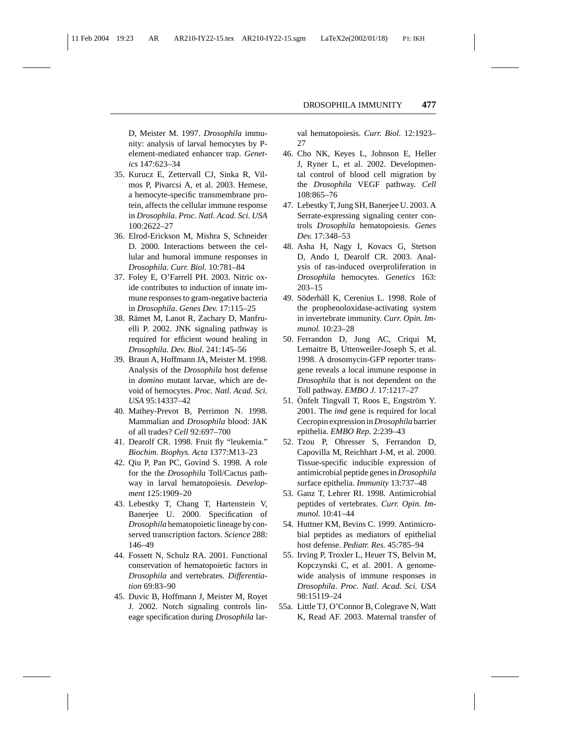D, Meister M. 1997. *Drosophila* immunity: analysis of larval hemocytes by Pelement-mediated enhancer trap. *Genetics* 147:623–34

- 35. Kurucz E, Zettervall CJ, Sinka R, Vilmos P, Pivarcsi A, et al. 2003. Hemese, a hemocyte-specific transmembrane protein, affects the cellular immune response in *Drosophila*. *Proc. Natl. Acad. Sci. USA* 100:2622–27
- 36. Elrod-Erickson M, Mishra S, Schneider D. 2000. Interactions between the cellular and humoral immune responses in *Drosophila*. *Curr. Biol.* 10:781–84
- 37. Foley E, O'Farrell PH. 2003. Nitric oxide contributes to induction of innate immune responses to gram-negative bacteria in *Drosophila*. *Genes Dev.* 17:115–25
- 38. Rämet M, Lanot R, Zachary D, Manfruelli P. 2002. JNK signaling pathway is required for efficient wound healing in *Drosophila*. *Dev. Biol.* 241:145–56
- 39. Braun A, Hoffmann JA, Meister M. 1998. Analysis of the *Drosophila* host defense in *domino* mutant larvae, which are devoid of hemocytes. *Proc. Natl. Acad. Sci. USA* 95:14337–42
- 40. Mathey-Prevot B, Perrimon N. 1998. Mammalian and *Drosophila* blood: JAK of all trades? *Cell* 92:697–700
- 41. Dearolf CR. 1998. Fruit fly "leukemia." *Biochim. Biophys. Acta* 1377:M13–23
- 42. Qiu P, Pan PC, Govind S. 1998. A role for the the *Drosophila* Toll/Cactus pathway in larval hematopoiesis. *Development* 125:1909–20
- 43. Lebestky T, Chang T, Hartenstein V, Banerjee U. 2000. Specification of *Drosophila* hematopoietic lineage by conserved transcription factors. *Science* 288: 146–49
- 44. Fossett N, Schulz RA. 2001. Functional conservation of hematopoietic factors in *Drosophila* and vertebrates. *Differentiation* 69:83–90
- 45. Duvic B, Hoffmann J, Meister M, Royet J. 2002. Notch signaling controls lineage specification during *Drosophila* lar-

val hematopoiesis. *Curr. Biol.* 12:1923– 27

- 46. Cho NK, Keyes L, Johnson E, Heller J, Ryner L, et al. 2002. Developmental control of blood cell migration by the *Drosophila* VEGF pathway. *Cell* 108:865–76
- 47. Lebestky T, Jung SH, Banerjee U. 2003. A Serrate-expressing signaling center controls *Drosophila* hematopoiesis. *Genes Dev.* 17:348–53
- 48. Asha H, Nagy I, Kovacs G, Stetson D, Ando I, Dearolf CR. 2003. Analysis of ras-induced overproliferation in *Drosophila* hemocytes. *Genetics* 163: 203–15
- 49. Söderhäll K, Cerenius L. 1998. Role of the prophenoloxidase-activating system in invertebrate immunity. *Curr. Opin. Immunol.* 10:23–28
- 50. Ferrandon D, Jung AC, Criqui M, Lemaitre B, Uttenweiler-Joseph S, et al. 1998. A drosomycin-GFP reporter transgene reveals a local immune response in *Drosophila* that is not dependent on the Toll pathway. *EMBO J.* 17:1217–27
- 51. Önfelt Tingvall T, Roos E, Engström Y. 2001. The *imd* gene is required for local Cecropin expression in *Drosophila* barrier epithelia. *EMBO Rep.* 2:239–43
- 52. Tzou P, Ohresser S, Ferrandon D, Capovilla M, Reichhart J-M, et al. 2000. Tissue-specific inducible expression of antimicrobial peptide genes in *Drosophila* surface epithelia. *Immunity* 13:737–48
- 53. Ganz T, Lehrer RI. 1998. Antimicrobial peptides of vertebrates. *Curr. Opin. Immunol.* 10:41–44
- 54. Huttner KM, Bevins C. 1999. Antimicrobial peptides as mediators of epithelial host defense. *Pediatr. Res.* 45:785–94
- 55. Irving P, Troxler L, Heuer TS, Belvin M, Kopczynski C, et al. 2001. A genomewide analysis of immune responses in *Drosophila*. *Proc. Natl. Acad. Sci. USA* 98:15119–24
- 55a. Little TJ, O'Connor B, Colegrave N, Watt K, Read AF. 2003. Maternal transfer of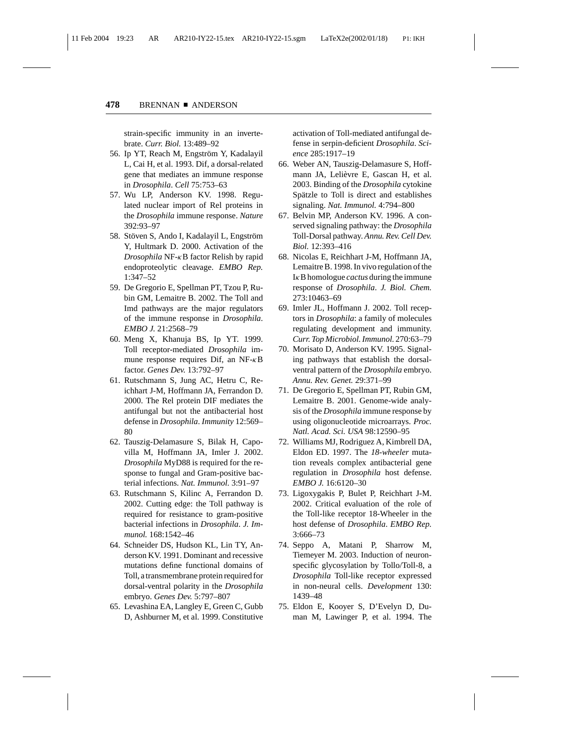strain-specific immunity in an invertebrate. *Curr. Biol.* 13:489–92

- 56. Ip YT, Reach M, Engström Y, Kadalayil L, Cai H, et al. 1993. Dif, a dorsal-related gene that mediates an immune response in *Drosophila*. *Cell* 75:753–63
- 57. Wu LP, Anderson KV. 1998. Regulated nuclear import of Rel proteins in the *Drosophila* immune response. *Nature* 392:93–97
- 58. Stöven S, Ando I, Kadalayil L, Engström Y, Hultmark D. 2000. Activation of the *Drosophila* NF-κB factor Relish by rapid endoproteolytic cleavage. *EMBO Rep.* 1:347–52
- 59. De Gregorio E, Spellman PT, Tzou P, Rubin GM, Lemaitre B. 2002. The Toll and Imd pathways are the major regulators of the immune response in *Drosophila*. *EMBO J.* 21:2568–79
- 60. Meng X, Khanuja BS, Ip YT. 1999. Toll receptor-mediated *Drosophila* immune response requires Dif, an  $NF-\kappa B$ factor. *Genes Dev.* 13:792–97
- 61. Rutschmann S, Jung AC, Hetru C, Reichhart J-M, Hoffmann JA, Ferrandon D. 2000. The Rel protein DIF mediates the antifungal but not the antibacterial host defense in *Drosophila*. *Immunity* 12:569– 80
- 62. Tauszig-Delamasure S, Bilak H, Capovilla M, Hoffmann JA, Imler J. 2002. *Drosophila* MyD88 is required for the response to fungal and Gram-positive bacterial infections. *Nat. Immunol.* 3:91–97
- 63. Rutschmann S, Kilinc A, Ferrandon D. 2002. Cutting edge: the Toll pathway is required for resistance to gram-positive bacterial infections in *Drosophila*. *J. Immunol.* 168:1542–46
- 64. Schneider DS, Hudson KL, Lin TY, Anderson KV. 1991. Dominant and recessive mutations define functional domains of Toll, a transmembrane protein required for dorsal-ventral polarity in the *Drosophila* embryo. *Genes Dev.* 5:797–807
- 65. Levashina EA, Langley E, Green C, Gubb D, Ashburner M, et al. 1999. Constitutive

activation of Toll-mediated antifungal defense in serpin-deficient *Drosophila*. *Science* 285:1917–19

- 66. Weber AN, Tauszig-Delamasure S, Hoffmann JA, Lelièvre E, Gascan H, et al. 2003. Binding of the *Drosophila* cytokine Spätzle to Toll is direct and establishes signaling. *Nat. Immunol.* 4:794–800
- 67. Belvin MP, Anderson KV. 1996. A conserved signaling pathway: the *Drosophila* Toll-Dorsal pathway. *Annu. Rev. Cell Dev. Biol.* 12:393–416
- 68. Nicolas E, Reichhart J-M, Hoffmann JA, Lemaitre B. 1998. In vivo regulation of the IκB homologue *cactus* during the immune response of *Drosophila*. *J. Biol. Chem.* 273:10463–69
- 69. Imler JL, Hoffmann J. 2002. Toll receptors in *Drosophila*: a family of molecules regulating development and immunity. *Curr. Top Microbiol. Immunol.* 270:63–79
- 70. Morisato D, Anderson KV. 1995. Signaling pathways that establish the dorsalventral pattern of the *Drosophila* embryo. *Annu. Rev. Genet.* 29:371–99
- 71. De Gregorio E, Spellman PT, Rubin GM, Lemaitre B. 2001. Genome-wide analysis of the *Drosophila* immune response by using oligonucleotide microarrays. *Proc. Natl. Acad. Sci. USA* 98:12590–95
- 72. Williams MJ, Rodriguez A, Kimbrell DA, Eldon ED. 1997. The *18-wheeler* mutation reveals complex antibacterial gene regulation in *Drosophila* host defense. *EMBO J.* 16:6120–30
- 73. Ligoxygakis P, Bulet P, Reichhart J-M. 2002. Critical evaluation of the role of the Toll-like receptor 18-Wheeler in the host defense of *Drosophila*. *EMBO Rep.* 3:666–73
- 74. Seppo A, Matani P, Sharrow M, Tiemeyer M. 2003. Induction of neuronspecific glycosylation by Tollo/Toll-8, a *Drosophila* Toll-like receptor expressed in non-neural cells. *Development* 130: 1439–48
- 75. Eldon E, Kooyer S, D'Evelyn D, Duman M, Lawinger P, et al. 1994. The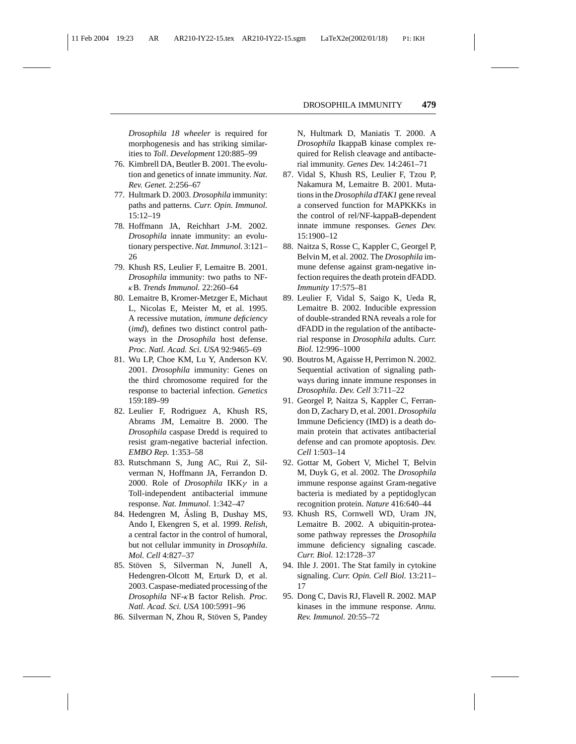*Drosophila 18 wheeler* is required for morphogenesis and has striking similarities to *Toll*. *Development* 120:885–99

- 76. Kimbrell DA, Beutler B. 2001. The evolution and genetics of innate immunity. *Nat. Rev. Genet.* 2:256–67
- 77. Hultmark D. 2003. *Drosophila* immunity: paths and patterns. *Curr. Opin. Immunol.* 15:12–19
- 78. Hoffmann JA, Reichhart J-M. 2002. *Drosophila* innate immunity: an evolutionary perspective.*Nat. Immunol.* 3:121– 26
- 79. Khush RS, Leulier F, Lemaitre B. 2001. *Drosophila* immunity: two paths to NFκB. *Trends Immunol.* 22:260–64
- 80. Lemaitre B, Kromer-Metzger E, Michaut L, Nicolas E, Meister M, et al. 1995. A recessive mutation, *immune deficiency* (*imd*), defines two distinct control pathways in the *Drosophila* host defense. *Proc. Natl. Acad. Sci. USA* 92:9465–69
- 81. Wu LP, Choe KM, Lu Y, Anderson KV. 2001. *Drosophila* immunity: Genes on the third chromosome required for the response to bacterial infection. *Genetics* 159:189–99
- 82. Leulier F, Rodriguez A, Khush RS, Abrams JM, Lemaitre B. 2000. The *Drosophila* caspase Dredd is required to resist gram-negative bacterial infection. *EMBO Rep.* 1:353–58
- 83. Rutschmann S, Jung AC, Rui Z, Silverman N, Hoffmann JA, Ferrandon D. 2000. Role of *Drosophila* IKKγ in a Toll-independent antibacterial immune response. *Nat. Immunol.* 1:342–47
- 84. Hedengren M, Åsling B, Dushay MS, Ando I, Ekengren S, et al. 1999. *Relish*, a central factor in the control of humoral, but not cellular immunity in *Drosophila*. *Mol. Cell* 4:827–37
- 85. Stöven S, Silverman N, Junell A, Hedengren-Olcott M, Erturk D, et al. 2003. Caspase-mediated processing of the *Drosophila* NF-κB factor Relish. *Proc. Natl. Acad. Sci. USA* 100:5991–96
- 86. Silverman N, Zhou R, Stöven S, Pandey

N, Hultmark D, Maniatis T. 2000. A *Drosophila* IkappaB kinase complex required for Relish cleavage and antibacterial immunity. *Genes Dev.* 14:2461–71

- 87. Vidal S, Khush RS, Leulier F, Tzou P, Nakamura M, Lemaitre B. 2001. Mutations in the *Drosophila dTAK1* gene reveal a conserved function for MAPKKKs in the control of rel/NF-kappaB-dependent innate immune responses. *Genes Dev.* 15:1900–12
- 88. Naitza S, Rosse C, Kappler C, Georgel P, Belvin M, et al. 2002. The *Drosophila* immune defense against gram-negative infection requires the death protein dFADD. *Immunity* 17:575–81
- 89. Leulier F, Vidal S, Saigo K, Ueda R, Lemaitre B. 2002. Inducible expression of double-stranded RNA reveals a role for dFADD in the regulation of the antibacterial response in *Drosophila* adults. *Curr. Biol.* 12:996–1000
- 90. Boutros M, Agaisse H, Perrimon N. 2002. Sequential activation of signaling pathways during innate immune responses in *Drosophila*. *Dev. Cell* 3:711–22
- 91. Georgel P, Naitza S, Kappler C, Ferrandon D, Zachary D, et al. 2001. *Drosophila* Immune Deficiency (IMD) is a death domain protein that activates antibacterial defense and can promote apoptosis. *Dev. Cell* 1:503–14
- 92. Gottar M, Gobert V, Michel T, Belvin M, Duyk G, et al. 2002. The *Drosophila* immune response against Gram-negative bacteria is mediated by a peptidoglycan recognition protein. *Nature* 416:640–44
- 93. Khush RS, Cornwell WD, Uram JN, Lemaitre B. 2002. A ubiquitin-proteasome pathway represses the *Drosophila* immune deficiency signaling cascade. *Curr. Biol.* 12:1728–37
- 94. Ihle J. 2001. The Stat family in cytokine signaling. *Curr. Opin. Cell Biol.* 13:211– 17
- 95. Dong C, Davis RJ, Flavell R. 2002. MAP kinases in the immune response. *Annu. Rev. Immunol.* 20:55–72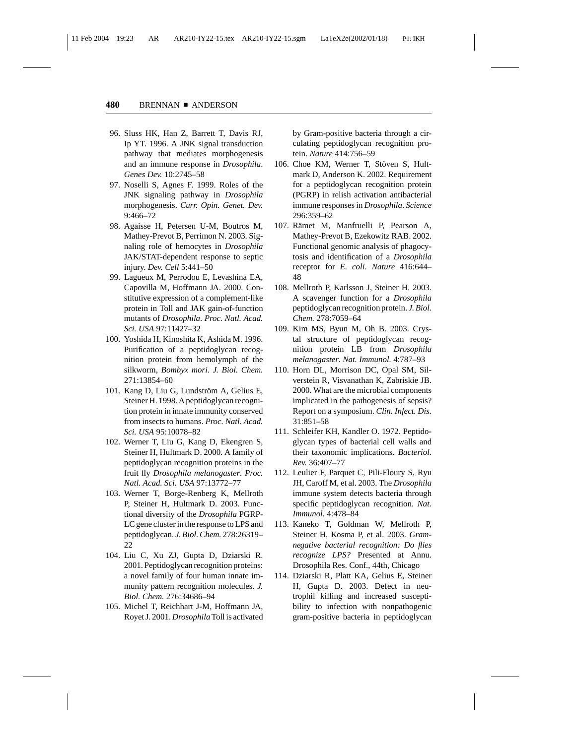- 96. Sluss HK, Han Z, Barrett T, Davis RJ, Ip YT. 1996. A JNK signal transduction pathway that mediates morphogenesis and an immune response in *Drosophila*. *Genes Dev.* 10:2745–58
- 97. Noselli S, Agnes F. 1999. Roles of the JNK signaling pathway in *Drosophila* morphogenesis. *Curr. Opin. Genet. Dev.* 9:466–72
- 98. Agaisse H, Petersen U-M, Boutros M, Mathey-Prevot B, Perrimon N. 2003. Signaling role of hemocytes in *Drosophila* JAK/STAT-dependent response to septic injury. *Dev. Cell* 5:441–50
- 99. Lagueux M, Perrodou E, Levashina EA, Capovilla M, Hoffmann JA. 2000. Constitutive expression of a complement-like protein in Toll and JAK gain-of-function mutants of *Drosophila*. *Proc. Natl. Acad. Sci. USA* 97:11427–32
- 100. Yoshida H, Kinoshita K, Ashida M. 1996. Purification of a peptidoglycan recognition protein from hemolymph of the silkworm, *Bombyx mori*. *J. Biol. Chem.* 271:13854–60
- 101. Kang D, Liu G, Lundström A, Gelius E, Steiner H. 1998. A peptidoglycan recognition protein in innate immunity conserved from insects to humans. *Proc. Natl. Acad. Sci. USA* 95:10078–82
- 102. Werner T, Liu G, Kang D, Ekengren S, Steiner H, Hultmark D. 2000. A family of peptidoglycan recognition proteins in the fruit fly *Drosophila melanogaster*. *Proc. Natl. Acad. Sci. USA* 97:13772–77
- 103. Werner T, Borge-Renberg K, Mellroth P, Steiner H, Hultmark D. 2003. Functional diversity of the *Drosophila* PGRP-LC gene cluster in the response to LPS and peptidoglycan. *J. Biol. Chem.* 278:26319– 22
- 104. Liu C, Xu ZJ, Gupta D, Dziarski R. 2001. Peptidoglycan recognition proteins: a novel family of four human innate immunity pattern recognition molecules. *J. Biol. Chem.* 276:34686–94
- 105. Michel T, Reichhart J-M, Hoffmann JA, Royet J. 2001. *Drosophila*Toll is activated

by Gram-positive bacteria through a circulating peptidoglycan recognition protein. *Nature* 414:756–59

- 106. Choe KM, Werner T, Stöven S, Hultmark D, Anderson K. 2002. Requirement for a peptidoglycan recognition protein (PGRP) in relish activation antibacterial immune responses in *Drosophila*. *Science* 296:359–62
- 107. Rämet M, Manfruelli P, Pearson A, Mathey-Prevot B, Ezekowitz RAB. 2002. Functional genomic analysis of phagocytosis and identification of a *Drosophila* receptor for *E. coli*. *Nature* 416:644– 48
- 108. Mellroth P, Karlsson J, Steiner H. 2003. A scavenger function for a *Drosophila* peptidoglycan recognition protein. *J. Biol. Chem.* 278:7059–64
- 109. Kim MS, Byun M, Oh B. 2003. Crystal structure of peptidoglycan recognition protein LB from *Drosophila melanogaster*. *Nat. Immunol.* 4:787–93
- 110. Horn DL, Morrison DC, Opal SM, Silverstein R, Visvanathan K, Zabriskie JB. 2000. What are the microbial components implicated in the pathogenesis of sepsis? Report on a symposium. *Clin. Infect. Dis.* 31:851–58
- 111. Schleifer KH, Kandler O. 1972. Peptidoglycan types of bacterial cell walls and their taxonomic implications. *Bacteriol. Rev.* 36:407–77
- 112. Leulier F, Parquet C, Pili-Floury S, Ryu JH, Caroff M, et al. 2003. The *Drosophila* immune system detects bacteria through specific peptidoglycan recognition. *Nat. Immunol.* 4:478–84
- 113. Kaneko T, Goldman W, Mellroth P, Steiner H, Kosma P, et al. 2003. *Gramnegative bacterial recognition: Do flies recognize LPS?* Presented at Annu. Drosophila Res. Conf., 44th, Chicago
- 114. Dziarski R, Platt KA, Gelius E, Steiner H, Gupta D. 2003. Defect in neutrophil killing and increased susceptibility to infection with nonpathogenic gram-positive bacteria in peptidoglycan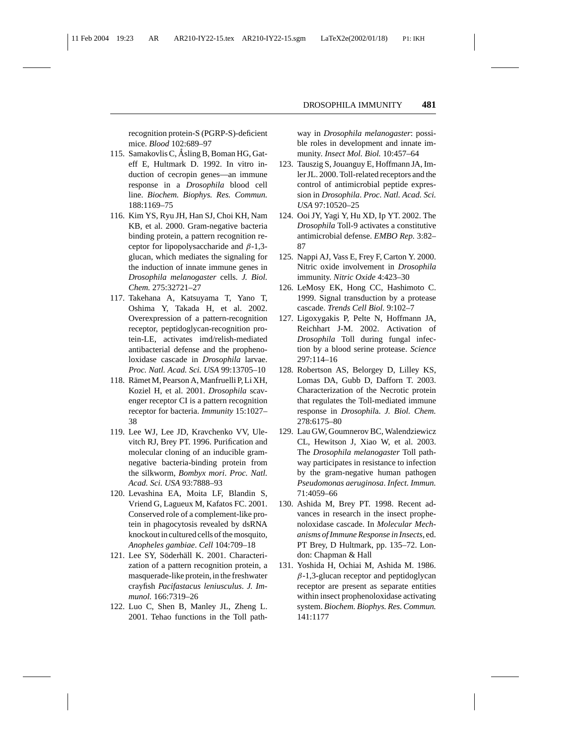recognition protein-S (PGRP-S)-deficient mice. *Blood* 102:689–97

- 115. Samakovlis C, Asling B, Boman HG, Gateff E, Hultmark D. 1992. In vitro induction of cecropin genes—an immune response in a *Drosophila* blood cell line. *Biochem. Biophys. Res. Commun.* 188:1169–75
- 116. Kim YS, Ryu JH, Han SJ, Choi KH, Nam KB, et al. 2000. Gram-negative bacteria binding protein, a pattern recognition receptor for lipopolysaccharide and  $\beta$ -1,3glucan, which mediates the signaling for the induction of innate immune genes in *Drosophila melanogaster* cells. *J. Biol. Chem.* 275:32721–27
- 117. Takehana A, Katsuyama T, Yano T, Oshima Y, Takada H, et al. 2002. Overexpression of a pattern-recognition receptor, peptidoglycan-recognition protein-LE, activates imd/relish-mediated antibacterial defense and the prophenoloxidase cascade in *Drosophila* larvae. *Proc. Natl. Acad. Sci. USA* 99:13705–10
- 118. Rämet M, Pearson A, Manfruelli P, Li XH, Koziel H, et al. 2001. *Drosophila* scavenger receptor CI is a pattern recognition receptor for bacteria. *Immunity* 15:1027– 38
- 119. Lee WJ, Lee JD, Kravchenko VV, Ulevitch RJ, Brey PT. 1996. Purification and molecular cloning of an inducible gramnegative bacteria-binding protein from the silkworm, *Bombyx mori*. *Proc. Natl. Acad. Sci. USA* 93:7888–93
- 120. Levashina EA, Moita LF, Blandin S, Vriend G, Lagueux M, Kafatos FC. 2001. Conserved role of a complement-like protein in phagocytosis revealed by dsRNA knockout in cultured cells of the mosquito, *Anopheles gambiae*. *Cell* 104:709–18
- 121. Lee SY, Söderhäll K. 2001. Characterization of a pattern recognition protein, a masquerade-like protein, in the freshwater crayfish *Pacifastacus leniusculus*. *J. Immunol.* 166:7319–26
- 122. Luo C, Shen B, Manley JL, Zheng L. 2001. Tehao functions in the Toll path-

way in *Drosophila melanogaster*: possible roles in development and innate immunity. *Insect Mol. Biol.* 10:457–64

- 123. Tauszig S, Jouanguy E, Hoffmann JA, Imler JL. 2000. Toll-related receptors and the control of antimicrobial peptide expression in *Drosophila*. *Proc. Natl. Acad. Sci. USA* 97:10520–25
- 124. Ooi JY, Yagi Y, Hu XD, Ip YT. 2002. The *Drosophila* Toll-9 activates a constitutive antimicrobial defense. *EMBO Rep.* 3:82– 87
- 125. Nappi AJ, Vass E, Frey F, Carton Y. 2000. Nitric oxide involvement in *Drosophila* immunity. *Nitric Oxide* 4:423–30
- 126. LeMosy EK, Hong CC, Hashimoto C. 1999. Signal transduction by a protease cascade. *Trends Cell Biol.* 9:102–7
- 127. Ligoxygakis P, Pelte N, Hoffmann JA, Reichhart J-M. 2002. Activation of *Drosophila* Toll during fungal infection by a blood serine protease. *Science* 297:114–16
- 128. Robertson AS, Belorgey D, Lilley KS, Lomas DA, Gubb D, Dafforn T. 2003. Characterization of the Necrotic protein that regulates the Toll-mediated immune response in *Drosophil*a. *J. Biol. Chem.* 278:6175–80
- 129. Lau GW, Goumnerov BC, Walendziewicz CL, Hewitson J, Xiao W, et al. 2003. The *Drosophila melanogaster* Toll pathway participates in resistance to infection by the gram-negative human pathogen *Pseudomonas aeruginosa*. *Infect. Immun.* 71:4059–66
- 130. Ashida M, Brey PT. 1998. Recent advances in research in the insect prophenoloxidase cascade. In *Molecular Mechanisms of Immune Response in Insects*, ed. PT Brey, D Hultmark, pp. 135–72. London: Chapman & Hall
- 131. Yoshida H, Ochiai M, Ashida M. 1986.  $\beta$ -1,3-glucan receptor and peptidoglycan receptor are present as separate entities within insect prophenoloxidase activating system. *Biochem. Biophys. Res. Commun.* 141:1177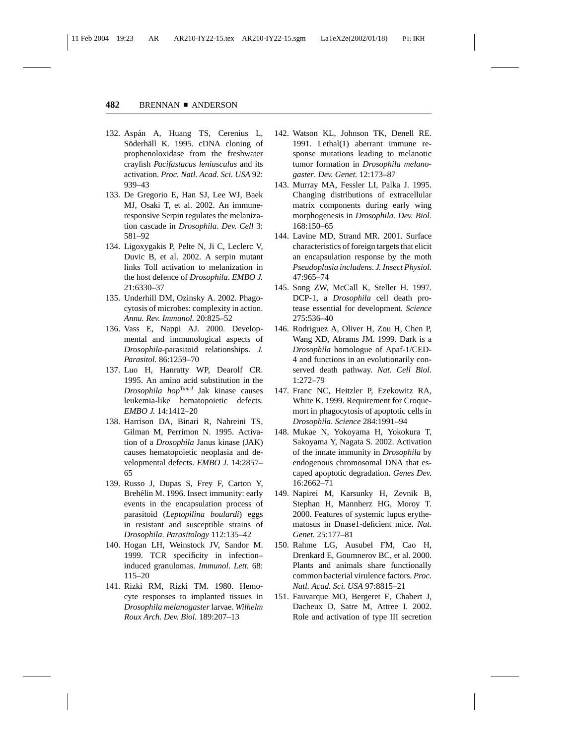- 132. Aspán A, Huang TS, Cerenius L, Söderhäll K. 1995. cDNA cloning of prophenoloxidase from the freshwater crayfish *Pacifastacus leniusculus* and its activation. *Proc. Natl. Acad. Sci. USA* 92: 939–43
- 133. De Gregorio E, Han SJ, Lee WJ, Baek MJ, Osaki T, et al. 2002. An immuneresponsive Serpin regulates the melanization cascade in *Drosophila*. *Dev. Cell* 3: 581–92
- 134. Ligoxygakis P, Pelte N, Ji C, Leclerc V, Duvic B, et al. 2002. A serpin mutant links Toll activation to melanization in the host defence of *Drosophila*. *EMBO J.* 21:6330–37
- 135. Underhill DM, Ozinsky A. 2002. Phagocytosis of microbes: complexity in action. *Annu. Rev. Immunol.* 20:825–52
- 136. Vass E, Nappi AJ. 2000. Developmental and immunological aspects of *Drosophila*-parasitoid relationships. *J. Parasitol.* 86:1259–70
- 137. Luo H, Hanratty WP, Dearolf CR. 1995. An amino acid substitution in the *Drosophila hopTum-l* Jak kinase causes leukemia-like hematopoietic defects. *EMBO J.* 14:1412–20
- 138. Harrison DA, Binari R, Nahreini TS, Gilman M, Perrimon N. 1995. Activation of a *Drosophila* Janus kinase (JAK) causes hematopoietic neoplasia and developmental defects. *EMBO J.* 14:2857– 65
- 139. Russo J, Dupas S, Frey F, Carton Y, Brehélin M. 1996. Insect immunity: early events in the encapsulation process of parasitoid (*Leptopilina boulardi*) eggs in resistant and susceptible strains of *Drosophila*. *Parasitology* 112:135–42
- 140. Hogan LH, Weinstock JV, Sandor M. 1999. TCR specificity in infection– induced granulomas. *Immunol. Lett.* 68: 115–20
- 141. Rizki RM, Rizki TM. 1980. Hemocyte responses to implanted tissues in *Drosophila melanogaster*larvae. *Wilhelm Roux Arch. Dev. Biol.* 189:207–13
- 142. Watson KL, Johnson TK, Denell RE. 1991. Lethal(1) aberrant immune response mutations leading to melanotic tumor formation in *Drosophila melanogaster*. *Dev. Genet.* 12:173–87
- 143. Murray MA, Fessler LI, Palka J. 1995. Changing distributions of extracellular matrix components during early wing morphogenesis in *Drosophila*. *Dev. Biol.* 168:150–65
- 144. Lavine MD, Strand MR. 2001. Surface characteristics of foreign targets that elicit an encapsulation response by the moth *Pseudoplusia includens*. *J. Insect Physiol.* 47:965–74
- 145. Song ZW, McCall K, Steller H. 1997. DCP-1, a *Drosophila* cell death protease essential for development. *Science* 275:536–40
- 146. Rodriguez A, Oliver H, Zou H, Chen P, Wang XD, Abrams JM. 1999. Dark is a *Drosophila* homologue of Apaf-1/CED-4 and functions in an evolutionarily conserved death pathway. *Nat. Cell Biol.* 1:272–79
- 147. Franc NC, Heitzler P, Ezekowitz RA, White K. 1999. Requirement for Croquemort in phagocytosis of apoptotic cells in *Drosophila*. *Science* 284:1991–94
- 148. Mukae N, Yokoyama H, Yokokura T, Sakoyama Y, Nagata S. 2002. Activation of the innate immunity in *Drosophila* by endogenous chromosomal DNA that escaped apoptotic degradation. *Genes Dev.* 16:2662–71
- 149. Napirei M, Karsunky H, Zevnik B, Stephan H, Mannherz HG, Moroy T. 2000. Features of systemic lupus erythematosus in Dnase1-deficient mice. *Nat. Genet.* 25:177–81
- 150. Rahme LG, Ausubel FM, Cao H, Drenkard E, Goumnerov BC, et al. 2000. Plants and animals share functionally common bacterial virulence factors. *Proc. Natl. Acad. Sci. USA* 97:8815–21
- 151. Fauvarque MO, Bergeret E, Chabert J, Dacheux D, Satre M, Attree I. 2002. Role and activation of type III secretion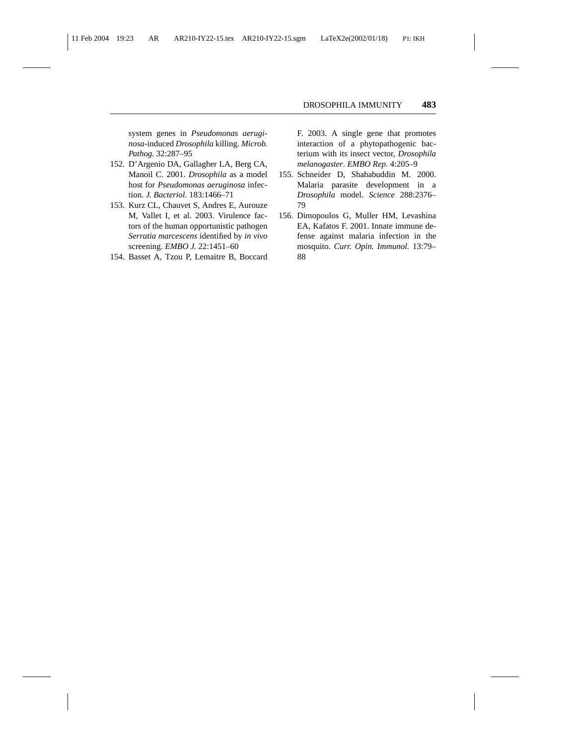system genes in *Pseudomonas aeruginosa*-induced *Drosophila* killing. *Microb. Pathog.* 32:287–95

- 152. D'Argenio DA, Gallagher LA, Berg CA, Manoil C. 2001. *Drosophila* as a model host for *Pseudomonas aeruginosa* infection. *J. Bacteriol.* 183:1466–71
- 153. Kurz CL, Chauvet S, Andres E, Aurouze M, Vallet I, et al. 2003. Virulence factors of the human opportunistic pathogen *Serratia marcescens* identified by *in vivo* screening. *EMBO J.* 22:1451–60
- 154. Basset A, Tzou P, Lemaitre B, Boccard

F. 2003. A single gene that promotes interaction of a phytopathogenic bacterium with its insect vector, *Drosophila melanogaster*. *EMBO Rep.* 4:205–9

- 155. Schneider D, Shahabuddin M. 2000. Malaria parasite development in a *Drosophila* model. *Science* 288:2376– 79
- 156. Dimopoulos G, Muller HM, Levashina EA, Kafatos F. 2001. Innate immune defense against malaria infection in the mosquito. *Curr. Opin. Immunol.* 13:79– 88